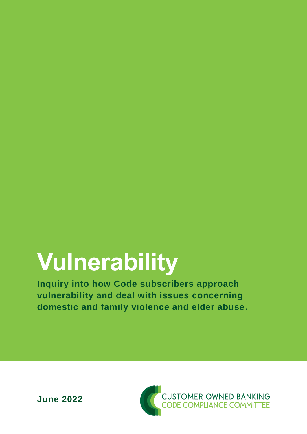# **Vulnerability**

**Inquiry into how Code subscribers approach vulnerability and deal with issues concerning domestic and family violence and elder abuse.**

**June 2022**

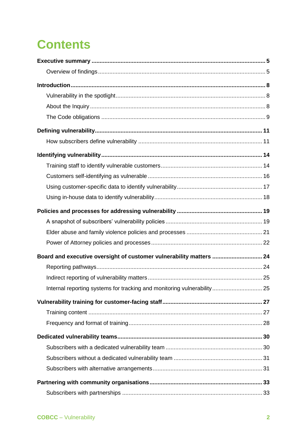## **Contents**

| Board and executive oversight of customer vulnerability matters  24     |  |
|-------------------------------------------------------------------------|--|
|                                                                         |  |
|                                                                         |  |
| Internal reporting systems for tracking and monitoring vulnerability 25 |  |
|                                                                         |  |
|                                                                         |  |
|                                                                         |  |
|                                                                         |  |
|                                                                         |  |
|                                                                         |  |
|                                                                         |  |
|                                                                         |  |
|                                                                         |  |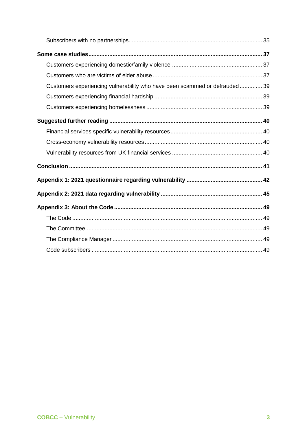| Customers experiencing vulnerability who have been scammed or defrauded 39 |  |
|----------------------------------------------------------------------------|--|
|                                                                            |  |
|                                                                            |  |
|                                                                            |  |
|                                                                            |  |
|                                                                            |  |
|                                                                            |  |
|                                                                            |  |
|                                                                            |  |
|                                                                            |  |
|                                                                            |  |
|                                                                            |  |
|                                                                            |  |
|                                                                            |  |
|                                                                            |  |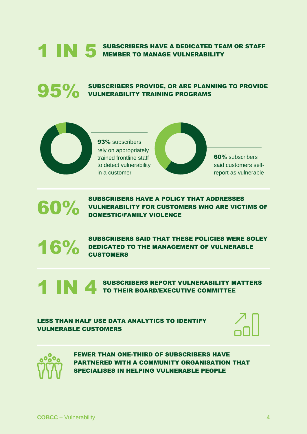## **1 IN 5 SUBSCRIBERS HAVE A DEDICATED TEAM OR STAFF**

**95%** SUBSCRIBERS PROVIDE, OR ARE PLANNING TO PROVIDE<br>VULNERABILITY TRAINING PROGRAMS



93% subscribers rely on appropriately trained frontline staff to detect vulnerability in a customer

60% subscribers said customers selfreport as vulnerable

SUBSCRIBERS HAVE A POLICY THAT ADDRESSES<br>VULNERABILITY FOR CUSTOMERS WHO ARE VICT<br>DOMESTIC/FAMILY VIOLENCE VULNERABILITY FOR CUSTOMERS WHO ARE VICTIMS OF DOMESTIC/FAMILY VIOLENCE

SUBSCRIBERS SAID THAT THESE POLICIES WERE SOLEY<br>
CUSTOMERS<br>
CUSTOMERS DEDICATED TO THE MANAGEMENT OF VULNERABLE **CUSTOMERS** 

> SUBSCRIBERS REPORT VULNERABILITY MATTERS TO THEIR BOARD/EXECUTIVE COMMITTEE

LESS THAN HALF USE DATA ANALYTICS TO IDENTIFY VULNERABLE CUSTOMERS





FEWER THAN ONE-THIRD OF SUBSCRIBERS HAVE PARTNERED WITH A COMMUNITY ORGANISATION THAT SPECIALISES IN HELPING VULNERABLE PEOPLE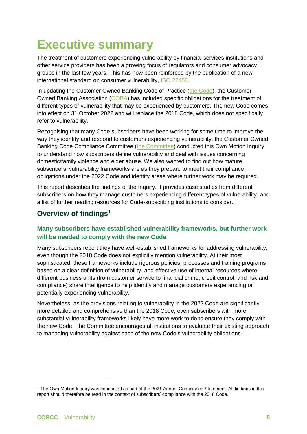## <span id="page-4-0"></span>**Executive summary**

The treatment of customers experiencing vulnerability by financial services institutions and other service providers has been a growing focus of regulators and consumer advocacy groups in the last few years. This has now been reinforced by the publication of a new international standard on consumer vulnerability, [ISO 22458.](https://www.iso.org/standard/73261.html)

In updating the Customer Owned Banking Code of Practice [\(the Code\)](https://www.customerownedbanking.asn.au/how-it-works/code-of-practice), the Customer Owned Banking Association [\(COBA\)](https://www.customerownedbanking.asn.au/) has included specific obligations for the treatment of different types of vulnerability that may be experienced by customers. The new Code comes into effect on 31 October 2022 and will replace the 2018 Code, which does not specifically refer to vulnerability.

Recognising that many Code subscribers have been working for some time to improve the way they identify and respond to customers experiencing vulnerability, the Customer Owned Banking Code Compliance Committee [\(the Committee\)](https://www.cobccc.org.au/) conducted this Own Motion Inquiry to understand how subscribers define vulnerability and deal with issues concerning domestic/family violence and elder abuse. We also wanted to find out how mature subscribers' vulnerability frameworks are as they prepare to meet their compliance obligations under the 2022 Code and identify areas where further work may be required.

This report describes the findings of the Inquiry. It provides case studies from different subscribers on how they manage customers experiencing different types of vulnerability, and a list of further reading resources for Code-subscribing institutions to consider.

### <span id="page-4-1"></span>**Overview of findings<sup>1</sup>**

### **Many subscribers have established vulnerability frameworks, but further work will be needed to comply with the new Code**

Many subscribers report they have well-established frameworks for addressing vulnerability, even though the 2018 Code does not explicitly mention vulnerability. At their most sophisticated, these frameworks include rigorous policies, processes and training programs based on a clear definition of vulnerability, and effective use of internal resources where different business units (from customer service to financial crime, credit control, and risk and compliance) share intelligence to help identify and manage customers experiencing or potentially experiencing vulnerability.

Nevertheless, as the provisions relating to vulnerability in the 2022 Code are significantly more detailed and comprehensive than the 2018 Code, even subscribers with more substantial vulnerability frameworks likely have more work to do to ensure they comply with the new Code. The Committee encourages all institutions to evaluate their existing approach to managing vulnerability against each of the new Code's vulnerability obligations.

-

<sup>1</sup> The Own Motion Inquiry was conducted as part of the 2021 Annual Compliance Statement. All findings in this report should therefore be read in the context of subscribers' compliance with the 2018 Code.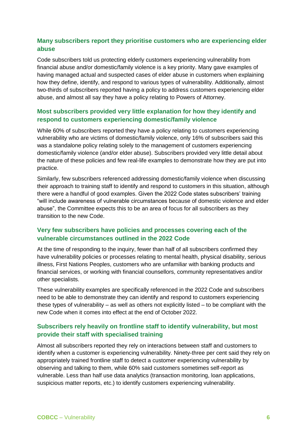### **Many subscribers report they prioritise customers who are experiencing elder abuse**

Code subscribers told us protecting elderly customers experiencing vulnerability from financial abuse and/or domestic/family violence is a key priority. Many gave examples of having managed actual and suspected cases of elder abuse in customers when explaining how they define, identify, and respond to various types of vulnerability. Additionally, almost two-thirds of subscribers reported having a policy to address customers experiencing elder abuse, and almost all say they have a policy relating to Powers of Attorney.

### **Most subscribers provided very little explanation for how they identify and respond to customers experiencing domestic/family violence**

While 60% of subscribers reported they have a policy relating to customers experiencing vulnerability who are victims of domestic/family violence, only 16% of subscribers said this was a standalone policy relating solely to the management of customers experiencing domestic/family violence (and/or elder abuse). Subscribers provided very little detail about the nature of these policies and few real-life examples to demonstrate how they are put into practice.

Similarly, few subscribers referenced addressing domestic/family violence when discussing their approach to training staff to identify and respond to customers in this situation, although there were a handful of good examples. Given the 2022 Code states subscribers' training "will include awareness of vulnerable circumstances because of domestic violence and elder abuse", the Committee expects this to be an area of focus for all subscribers as they transition to the new Code.

### **Very few subscribers have policies and processes covering each of the vulnerable circumstances outlined in the 2022 Code**

At the time of responding to the inquiry, fewer than half of all subscribers confirmed they have vulnerability policies or processes relating to mental health, physical disability, serious illness, First Nations Peoples, customers who are unfamiliar with banking products and financial services, or working with financial counsellors, community representatives and/or other specialists.

These vulnerability examples are specifically referenced in the 2022 Code and subscribers need to be able to demonstrate they can identify and respond to customers experiencing these types of vulnerability – as well as others not explicitly listed – to be compliant with the new Code when it comes into effect at the end of October 2022.

### **Subscribers rely heavily on frontline staff to identify vulnerability, but most provide their staff with specialised training**

Almost all subscribers reported they rely on interactions between staff and customers to identify when a customer is experiencing vulnerability. Ninety-three per cent said they rely on appropriately trained frontline staff to detect a customer experiencing vulnerability by observing and talking to them, while 60% said customers sometimes self-report as vulnerable. Less than half use data analytics (transaction monitoring, loan applications, suspicious matter reports, etc.) to identify customers experiencing vulnerability.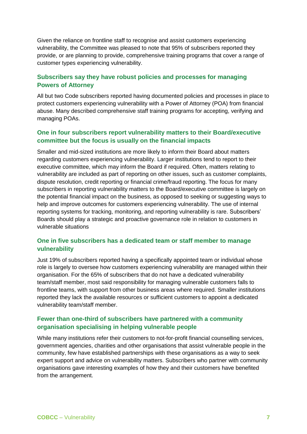Given the reliance on frontline staff to recognise and assist customers experiencing vulnerability, the Committee was pleased to note that 95% of subscribers reported they provide, or are planning to provide, comprehensive training programs that cover a range of customer types experiencing vulnerability.

### **Subscribers say they have robust policies and processes for managing Powers of Attorney**

All but two Code subscribers reported having documented policies and processes in place to protect customers experiencing vulnerability with a Power of Attorney (POA) from financial abuse. Many described comprehensive staff training programs for accepting, verifying and managing POAs.

### **One in four subscribers report vulnerability matters to their Board/executive committee but the focus is usually on the financial impacts**

Smaller and mid-sized institutions are more likely to inform their Board about matters regarding customers experiencing vulnerability. Larger institutions tend to report to their executive committee, which may inform the Board if required. Often, matters relating to vulnerability are included as part of reporting on other issues, such as customer complaints, dispute resolution, credit reporting or financial crime/fraud reporting. The focus for many subscribers in reporting vulnerability matters to the Board/executive committee is largely on the potential financial impact on the business, as opposed to seeking or suggesting ways to help and improve outcomes for customers experiencing vulnerability. The use of internal reporting systems for tracking, monitoring, and reporting vulnerability is rare. Subscribers' Boards should play a strategic and proactive governance role in relation to customers in vulnerable situations

### **One in five subscribers has a dedicated team or staff member to manage vulnerability**

Just 19% of subscribers reported having a specifically appointed team or individual whose role is largely to oversee how customers experiencing vulnerability are managed within their organisation. For the 65% of subscribers that do not have a dedicated vulnerability team/staff member, most said responsibility for managing vulnerable customers falls to frontline teams, with support from other business areas where required. Smaller institutions reported they lack the available resources or sufficient customers to appoint a dedicated vulnerability team/staff member.

### **Fewer than one-third of subscribers have partnered with a community organisation specialising in helping vulnerable people**

While many institutions refer their customers to not-for-profit financial counselling services, government agencies, charities and other organisations that assist vulnerable people in the community, few have established partnerships with these organisations as a way to seek expert support and advice on vulnerability matters. Subscribers who partner with community organisations gave interesting examples of how they and their customers have benefited from the arrangement.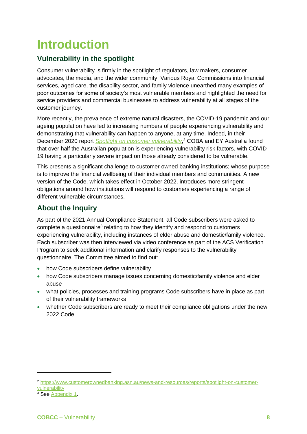## <span id="page-7-0"></span>**Introduction**

### <span id="page-7-1"></span>**Vulnerability in the spotlight**

Consumer vulnerability is firmly in the spotlight of regulators, law makers, consumer advocates, the media, and the wider community. Various Royal Commissions into financial services, aged care, the disability sector, and family violence unearthed many examples of poor outcomes for some of society's most vulnerable members and highlighted the need for service providers and commercial businesses to address vulnerability at all stages of the customer journey.

More recently, the prevalence of extreme natural disasters, the COVID-19 pandemic and our ageing population have led to increasing numbers of people experiencing vulnerability and demonstrating that vulnerability can happen to anyone, at any time. Indeed, in their December 2020 report *[Spotlight on customer vulnerability](https://www.customerownedbanking.asn.au/news-and-resources/reports/spotlight-on-customer-vulnerability)*,<sup>2</sup> COBA and EY Australia found that over half the Australian population is experiencing vulnerability risk factors, with COVID-19 having a particularly severe impact on those already considered to be vulnerable.

This presents a significant challenge to customer owned banking institutions; whose purpose is to improve the financial wellbeing of their individual members and communities. A new version of the Code, which takes effect in October 2022, introduces more stringent obligations around how institutions will respond to customers experiencing a range of different vulnerable circumstances.

### <span id="page-7-2"></span>**About the Inquiry**

As part of the 2021 Annual Compliance Statement, all Code subscribers were asked to complete a questionnaire<sup>3</sup> relating to how they identify and respond to customers experiencing vulnerability, including instances of elder abuse and domestic/family violence. Each subscriber was then interviewed via video conference as part of the ACS Verification Program to seek additional information and clarify responses to the vulnerability questionnaire. The Committee aimed to find out:

- how Code subscribers define vulnerability
- how Code subscribers manage issues concerning domestic/family violence and elder abuse
- what policies, processes and training programs Code subscribers have in place as part of their vulnerability frameworks
- whether Code subscribers are ready to meet their compliance obligations under the new 2022 Code.

-

<sup>2</sup> [https://www.customerownedbanking.asn.au/news-and-resources/reports/spotlight-on-customer](https://www.customerownedbanking.asn.au/news-and-resources/reports/spotlight-on-customer-vulnerability)[vulnerability](https://www.customerownedbanking.asn.au/news-and-resources/reports/spotlight-on-customer-vulnerability)

<sup>&</sup>lt;sup>3</sup> See [Appendix 1.](#page-41-0)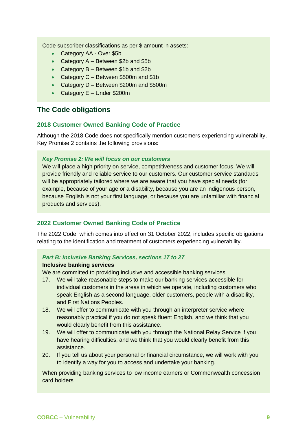Code subscriber classifications as per \$ amount in assets:

- Category AA Over \$5b
- Category A Between \$2b and \$5b
- Category B Between \$1b and \$2b
- Category C Between \$500m and \$1b
- Category D Between \$200m and \$500m
- Category E Under \$200m

### <span id="page-8-0"></span>**The Code obligations**

### **2018 Customer Owned Banking Code of Practice**

Although the 2018 Code does not specifically mention customers experiencing vulnerability, Key Promise 2 contains the following provisions:

### *Key Promise 2: We will focus on our customers*

We will place a high priority on service, competitiveness and customer focus. We will provide friendly and reliable service to our customers. Our customer service standards will be appropriately tailored where we are aware that you have special needs (for example, because of your age or a disability, because you are an indigenous person, because English is not your first language, or because you are unfamiliar with financial products and services).

### **2022 Customer Owned Banking Code of Practice**

The 2022 Code, which comes into effect on 31 October 2022, includes specific obligations relating to the identification and treatment of customers experiencing vulnerability.

### *Part B: Inclusive Banking Services, sections 17 to 27*

### **Inclusive banking services**

We are committed to providing inclusive and accessible banking services

- 17. We will take reasonable steps to make our banking services accessible for individual customers in the areas in which we operate, including customers who speak English as a second language, older customers, people with a disability, and First Nations Peoples.
- 18. We will offer to communicate with you through an interpreter service where reasonably practical if you do not speak fluent English, and we think that you would clearly benefit from this assistance.
- 19. We will offer to communicate with you through the National Relay Service if you have hearing difficulties, and we think that you would clearly benefit from this assistance.
- 20. If you tell us about your personal or financial circumstance, we will work with you to identify a way for you to access and undertake your banking.

When providing banking services to low income earners or Commonwealth concession card holders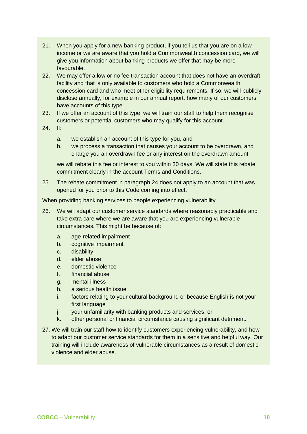- 21. When you apply for a new banking product, if you tell us that you are on a low income or we are aware that you hold a Commonwealth concession card, we will give you information about banking products we offer that may be more favourable.
- 22. We may offer a low or no fee transaction account that does not have an overdraft facility and that is only available to customers who hold a Commonwealth concession card and who meet other eligibility requirements. If so, we will publicly disclose annually, for example in our annual report, how many of our customers have accounts of this type.
- 23. If we offer an account of this type, we will train our staff to help them recognise customers or potential customers who may qualify for this account.
- 24. If:
	- a. we establish an account of this type for you, and
	- b. we process a transaction that causes your account to be overdrawn, and charge you an overdrawn fee or any interest on the overdrawn amount

we will rebate this fee or interest to you within 30 days. We will state this rebate commitment clearly in the account Terms and Conditions.

25. The rebate commitment in paragraph 24 does not apply to an account that was opened for you prior to this Code coming into effect.

When providing banking services to people experiencing vulnerability

- 26. We will adapt our customer service standards where reasonably practicable and take extra care where we are aware that you are experiencing vulnerable circumstances. This might be because of:
	- a. age-related impairment
	- b. cognitive impairment
	- c. disability
	- d. elder abuse
	- e. domestic violence
	- f. financial abuse
	- g. mental illness
	- h. a serious health issue
	- i. factors relating to your cultural background or because English is not your first language
	- j. your unfamiliarity with banking products and services, or
	- k. other personal or financial circumstance causing significant detriment.
- 27. We will train our staff how to identify customers experiencing vulnerability, and how to adapt our customer service standards for them in a sensitive and helpful way. Our training will include awareness of vulnerable circumstances as a result of domestic violence and elder abuse.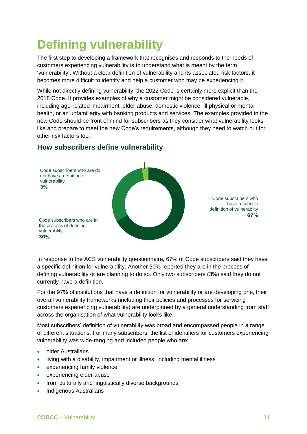## <span id="page-10-0"></span>**Defining vulnerability**

The first step to developing a framework that recognises and responds to the needs of customers experiencing vulnerability is to understand what is meant by the term 'vulnerability'. Without a clear definition of vulnerability and its associated risk factors, it becomes more difficult to identify and help a customer who may be experiencing it.

While not directly defining vulnerability, the 2022 Code is certainly more explicit than the 2018 Code. It provides examples of why a customer might be considered vulnerable, including age-related impairment, elder abuse, domestic violence, ill physical or mental health, or an unfamiliarity with banking products and services. The examples provided in the new Code should be front of mind for subscribers as they consider what vulnerability looks like and prepare to meet the new Code's requirements, although they need to watch out for other risk factors too.



### <span id="page-10-1"></span>**How subscribers define vulnerability**

In response to the ACS vulnerability questionnaire, 67% of Code subscribers said they have a specific definition for vulnerability. Another 30% reported they are in the process of defining vulnerability or are planning to do so. Only two subscribers (3%) said they do not currently have a definition.

For the 97% of institutions that have a definition for vulnerability or are developing one, their overall vulnerability frameworks (including their policies and processes for servicing customers experiencing vulnerability) are underpinned by a general understanding from staff across the organisation of what vulnerability looks like.

Most subscribers' definition of vulnerability was broad and encompassed people in a range of different situations. For many subscribers, the list of identifiers for customers experiencing vulnerability was wide-ranging and included people who are:

- older Australians
- living with a disability, impairment or illness, including mental illness
- experiencing family violence
- experiencing elder abuse
- from culturally and linguistically diverse backgrounds
- Indigenous Australians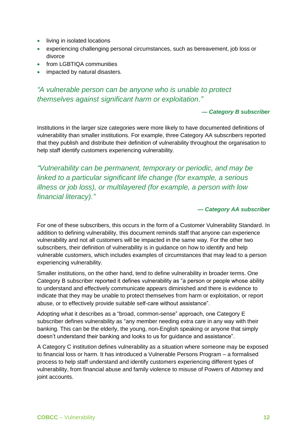- living in isolated locations
- experiencing challenging personal circumstances, such as bereavement, job loss or divorce
- from LGBTIQA communities
- impacted by natural disasters.

### *"A vulnerable person can be anyone who is unable to protect themselves against significant harm or exploitation."*

### *— Category B subscriber*

Institutions in the larger size categories were more likely to have documented definitions of vulnerability than smaller institutions. For example, three Category AA subscribers reported that they publish and distribute their definition of vulnerability throughout the organisation to help staff identify customers experiencing vulnerability.

*"Vulnerability can be permanent, temporary or periodic, and may be linked to a particular significant life change (for example, a serious illness or job loss), or multilayered (for example, a person with low financial literacy)."*

### *— Category AA subscriber*

For one of these subscribers, this occurs in the form of a Customer Vulnerability Standard. In addition to defining vulnerability, this document reminds staff that anyone can experience vulnerability and not all customers will be impacted in the same way. For the other two subscribers, their definition of vulnerability is in guidance on how to identify and help vulnerable customers, which includes examples of circumstances that may lead to a person experiencing vulnerability.

Smaller institutions, on the other hand, tend to define vulnerability in broader terms. One Category B subscriber reported it defines vulnerability as "a person or people whose ability to understand and effectively communicate appears diminished and there is evidence to indicate that they may be unable to protect themselves from harm or exploitation, or report abuse, or to effectively provide suitable self-care without assistance".

Adopting what it describes as a "broad, common-sense" approach, one Category E subscriber defines vulnerability as "any member needing extra care in any way with their banking. This can be the elderly, the young, non-English speaking or anyone that simply doesn't understand their banking and looks to us for guidance and assistance".

A Category C institution defines vulnerability as a situation where someone may be exposed to financial loss or harm. It has introduced a Vulnerable Persons Program – a formalised process to help staff understand and identify customers experiencing different types of vulnerability, from financial abuse and family violence to misuse of Powers of Attorney and joint accounts.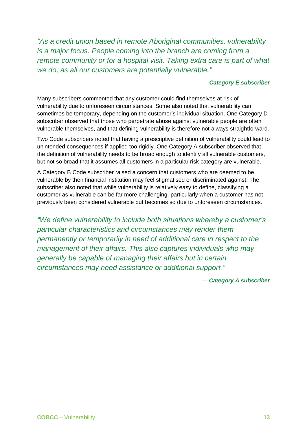*"As a credit union based in remote Aboriginal communities, vulnerability is a major focus. People coming into the branch are coming from a remote community or for a hospital visit. Taking extra care is part of what we do, as all our customers are potentially vulnerable."*

### *— Category E subscriber*

Many subscribers commented that any customer could find themselves at risk of vulnerability due to unforeseen circumstances. Some also noted that vulnerability can sometimes be temporary, depending on the customer's individual situation. One Category D subscriber observed that those who perpetrate abuse against vulnerable people are often vulnerable themselves, and that defining vulnerability is therefore not always straightforward.

Two Code subscribers noted that having a prescriptive definition of vulnerability could lead to unintended consequences if applied too rigidly. One Category A subscriber observed that the definition of vulnerability needs to be broad enough to identify all vulnerable customers, but not so broad that it assumes all customers in a particular risk category are vulnerable.

A Category B Code subscriber raised a concern that customers who are deemed to be vulnerable by their financial institution may feel stigmatised or discriminated against. The subscriber also noted that while vulnerability is relatively easy to define, classifying a customer as vulnerable can be far more challenging, particularly when a customer has not previously been considered vulnerable but becomes so due to unforeseen circumstances.

*"We define vulnerability to include both situations whereby a customer's particular characteristics and circumstances may render them permanently or temporarily in need of additional care in respect to the management of their affairs. This also captures individuals who may generally be capable of managing their affairs but in certain circumstances may need assistance or additional support."*

*— Category A subscriber*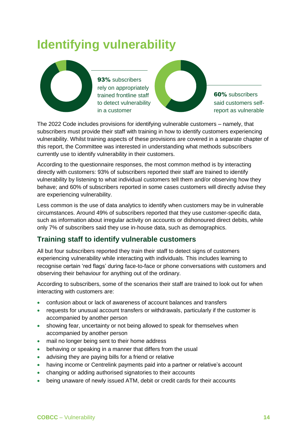## <span id="page-13-0"></span>**Identifying vulnerability**



93% subscribers rely on appropriately trained frontline staff to detect vulnerability in a customer



60% subscribers said customers selfreport as vulnerable

The 2022 Code includes provisions for identifying vulnerable customers – namely, that subscribers must provide their staff with training in how to identify customers experiencing vulnerability. Whilst training aspects of these provisions are covered in a separate chapter of this report, the Committee was interested in understanding what methods subscribers currently use to identify vulnerability in their customers.

According to the questionnaire responses, the most common method is by interacting directly with customers: 93% of subscribers reported their staff are trained to identify vulnerability by listening to what individual customers tell them and/or observing how they behave; and 60% of subscribers reported in some cases customers will directly advise they are experiencing vulnerability.

Less common is the use of data analytics to identify when customers may be in vulnerable circumstances. Around 49% of subscribers reported that they use customer-specific data, such as information about irregular activity on accounts or dishonoured direct debits, while only 7% of subscribers said they use in-house data, such as demographics.

### <span id="page-13-1"></span>**Training staff to identify vulnerable customers**

All but four subscribers reported they train their staff to detect signs of customers experiencing vulnerability while interacting with individuals. This includes learning to recognise certain 'red flags' during face-to-face or phone conversations with customers and observing their behaviour for anything out of the ordinary.

According to subscribers, some of the scenarios their staff are trained to look out for when interacting with customers are:

- confusion about or lack of awareness of account balances and transfers
- requests for unusual account transfers or withdrawals, particularly if the customer is accompanied by another person
- showing fear, uncertainty or not being allowed to speak for themselves when accompanied by another person
- mail no longer being sent to their home address
- behaving or speaking in a manner that differs from the usual
- advising they are paying bills for a friend or relative
- having income or Centrelink payments paid into a partner or relative's account
- changing or adding authorised signatories to their accounts
- being unaware of newly issued ATM, debit or credit cards for their accounts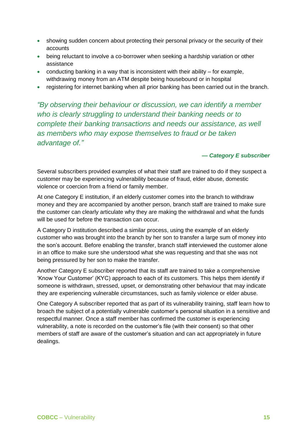- showing sudden concern about protecting their personal privacy or the security of their accounts
- being reluctant to involve a co-borrower when seeking a hardship variation or other assistance
- conducting banking in a way that is inconsistent with their ability  $-$  for example, withdrawing money from an ATM despite being housebound or in hospital
- registering for internet banking when all prior banking has been carried out in the branch.

*"By observing their behaviour or discussion, we can identify a member who is clearly struggling to understand their banking needs or to complete their banking transactions and needs our assistance, as well as members who may expose themselves to fraud or be taken advantage of."*

*— Category E subscriber*

Several subscribers provided examples of what their staff are trained to do if they suspect a customer may be experiencing vulnerability because of fraud, elder abuse, domestic violence or coercion from a friend or family member.

At one Category E institution, if an elderly customer comes into the branch to withdraw money and they are accompanied by another person, branch staff are trained to make sure the customer can clearly articulate why they are making the withdrawal and what the funds will be used for before the transaction can occur.

A Category D institution described a similar process, using the example of an elderly customer who was brought into the branch by her son to transfer a large sum of money into the son's account. Before enabling the transfer, branch staff interviewed the customer alone in an office to make sure she understood what she was requesting and that she was not being pressured by her son to make the transfer.

Another Category E subscriber reported that its staff are trained to take a comprehensive 'Know Your Customer' (KYC) approach to each of its customers. This helps them identify if someone is withdrawn, stressed, upset, or demonstrating other behaviour that may indicate they are experiencing vulnerable circumstances, such as family violence or elder abuse.

One Category A subscriber reported that as part of its vulnerability training, staff learn how to broach the subject of a potentially vulnerable customer's personal situation in a sensitive and respectful manner. Once a staff member has confirmed the customer is experiencing vulnerability, a note is recorded on the customer's file (with their consent) so that other members of staff are aware of the customer's situation and can act appropriately in future dealings.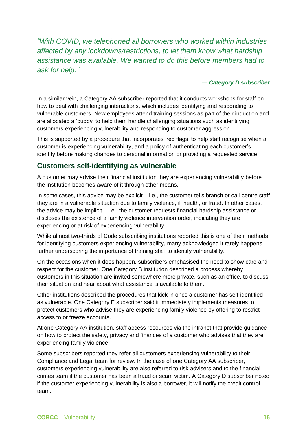*"With COVID, we telephoned all borrowers who worked within industries affected by any lockdowns/restrictions, to let them know what hardship assistance was available. We wanted to do this before members had to ask for help."*

### *— Category D subscriber*

In a similar vein, a Category AA subscriber reported that it conducts workshops for staff on how to deal with challenging interactions, which includes identifying and responding to vulnerable customers. New employees attend training sessions as part of their induction and are allocated a 'buddy' to help them handle challenging situations such as identifying customers experiencing vulnerability and responding to customer aggression.

This is supported by a procedure that incorporates 'red flags' to help staff recognise when a customer is experiencing vulnerability, and a policy of authenticating each customer's identity before making changes to personal information or providing a requested service.

### <span id="page-15-0"></span>**Customers self-identifying as vulnerable**

A customer may advise their financial institution they are experiencing vulnerability before the institution becomes aware of it through other means.

In some cases, this advice may be explicit – i.e., the customer tells branch or call-centre staff they are in a vulnerable situation due to family violence, ill health, or fraud. In other cases, the advice may be implicit – i.e., the customer requests financial hardship assistance or discloses the existence of a family violence intervention order, indicating they are experiencing or at risk of experiencing vulnerability.

While almost two-thirds of Code subscribing institutions reported this is one of their methods for identifying customers experiencing vulnerability, many acknowledged it rarely happens, further underscoring the importance of training staff to identify vulnerability.

On the occasions when it does happen, subscribers emphasised the need to show care and respect for the customer. One Category B institution described a process whereby customers in this situation are invited somewhere more private, such as an office, to discuss their situation and hear about what assistance is available to them.

Other institutions described the procedures that kick in once a customer has self-identified as vulnerable. One Category E subscriber said it immediately implements measures to protect customers who advise they are experiencing family violence by offering to restrict access to or freeze accounts.

At one Category AA institution, staff access resources via the intranet that provide guidance on how to protect the safety, privacy and finances of a customer who advises that they are experiencing family violence.

Some subscribers reported they refer all customers experiencing vulnerability to their Compliance and Legal team for review. In the case of one Category AA subscriber, customers experiencing vulnerability are also referred to risk advisers and to the financial crimes team if the customer has been a fraud or scam victim. A Category D subscriber noted if the customer experiencing vulnerability is also a borrower, it will notify the credit control team.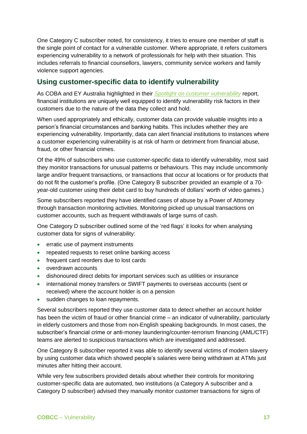One Category C subscriber noted, for consistency, it tries to ensure one member of staff is the single point of contact for a vulnerable customer. Where appropriate, it refers customers experiencing vulnerability to a network of professionals for help with their situation. This includes referrals to financial counsellors, lawyers, community service workers and family violence support agencies.

### <span id="page-16-0"></span>**Using customer-specific data to identify vulnerability**

As COBA and EY Australia highlighted in their *[Spotlight on customer vulnerability](https://www.customerownedbanking.asn.au/news-and-resources/reports/spotlight-on-customer-vulnerability)* report, financial institutions are uniquely well equipped to identify vulnerability risk factors in their customers due to the nature of the data they collect and hold.

When used appropriately and ethically, customer data can provide valuable insights into a person's financial circumstances and banking habits. This includes whether they are experiencing vulnerability. Importantly, data can alert financial institutions to instances where a customer experiencing vulnerability is at risk of harm or detriment from financial abuse, fraud, or other financial crimes.

Of the 49% of subscribers who use customer-specific data to identify vulnerability, most said they monitor transactions for unusual patterns or behaviours. This may include uncommonly large and/or frequent transactions, or transactions that occur at locations or for products that do not fit the customer's profile. (One Category B subscriber provided an example of a 70 year-old customer using their debit card to buy hundreds of dollars' worth of video games.)

Some subscribers reported they have identified cases of abuse by a Power of Attorney through transaction monitoring activities. Monitoring picked up unusual transactions on customer accounts, such as frequent withdrawals of large sums of cash.

One Category D subscriber outlined some of the 'red flags' it looks for when analysing customer data for signs of vulnerability:

- erratic use of payment instruments
- repeated requests to reset online banking access
- frequent card reorders due to lost cards
- overdrawn accounts
- dishonoured direct debits for important services such as utilities or insurance
- international money transfers or SWIFT payments to overseas accounts (sent or received) where the account holder is on a pension
- sudden changes to loan repayments.

Several subscribers reported they use customer data to detect whether an account holder has been the victim of fraud or other financial crime – an indicator of vulnerability, particularly in elderly customers and those from non-English speaking backgrounds. In most cases, the subscriber's financial crime or anti-money laundering/counter-terrorism financing (AML/CTF) teams are alerted to suspicious transactions which are investigated and addressed.

One Category B subscriber reported it was able to identify several victims of modern slavery by using customer data which showed people's salaries were being withdrawn at ATMs just minutes after hitting their account.

While very few subscribers provided details about whether their controls for monitoring customer-specific data are automated, two institutions (a Category A subscriber and a Category D subscriber) advised they manually monitor customer transactions for signs of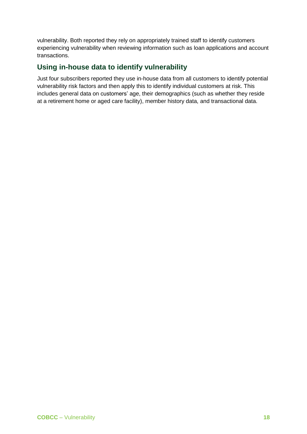vulnerability. Both reported they rely on appropriately trained staff to identify customers experiencing vulnerability when reviewing information such as loan applications and account transactions.

### <span id="page-17-0"></span>**Using in-house data to identify vulnerability**

Just four subscribers reported they use in-house data from all customers to identify potential vulnerability risk factors and then apply this to identify individual customers at risk. This includes general data on customers' age, their demographics (such as whether they reside at a retirement home or aged care facility), member history data, and transactional data.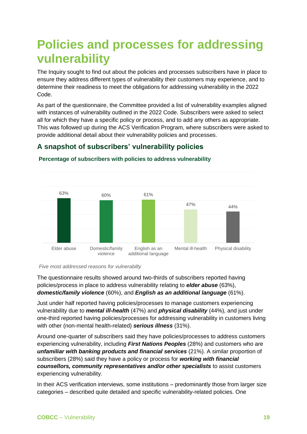## <span id="page-18-0"></span>**Policies and processes for addressing vulnerability**

The Inquiry sought to find out about the policies and processes subscribers have in place to ensure they address different types of vulnerability their customers may experience, and to determine their readiness to meet the obligations for addressing vulnerability in the 2022 Code.

As part of the questionnaire, the Committee provided a list of vulnerability examples aligned with instances of vulnerability outlined in the 2022 Code. Subscribers were asked to select all for which they have a specific policy or process, and to add any others as appropriate. This was followed up during the ACS Verification Program, where subscribers were asked to provide additional detail about their vulnerability policies and processes.

### <span id="page-18-1"></span>**A snapshot of subscribers' vulnerability policies**



### **Percentage of subscribers with policies to address vulnerability**

*Five most addressed reasons for vulnerabilty*

The questionnaire results showed around two-thirds of subscribers reported having policies/process in place to address vulnerability relating to *elder abuse* (63%), *domestic/family violence* (60%), and *English as an additional language* (61%).

Just under half reported having policies/processes to manage customers experiencing vulnerability due to *mental ill-health* (47%) and *physical disability* (44%), and just under one-third reported having policies/processes for addressing vulnerability in customers living with other (non-mental health-related) *serious illness* (31%).

Around one-quarter of subscribers said they have policies/processes to address customers experiencing vulnerability, including *First Nations Peoples* (28%) and customers who are *unfamiliar with banking products and financial services* (21%). A similar proportion of subscribers (28%) said they have a policy or process for *working with financial counsellors, community representatives and/or other specialists* to assist customers experiencing vulnerability.

In their ACS verification interviews, some institutions – predominantly those from larger size categories – described quite detailed and specific vulnerability-related policies. One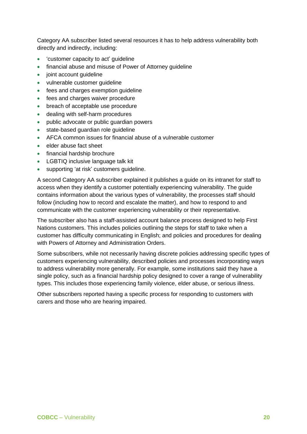Category AA subscriber listed several resources it has to help address vulnerability both directly and indirectly, including:

- 'customer capacity to act' guideline
- financial abuse and misuse of Power of Attorney quideline
- joint account quideline
- vulnerable customer guideline
- fees and charges exemption quideline
- fees and charges waiver procedure
- breach of acceptable use procedure
- dealing with self-harm procedures
- public advocate or public quardian powers
- state-based guardian role guideline
- AFCA common issues for financial abuse of a vulnerable customer
- elder abuse fact sheet
- financial hardship brochure
- LGBTIQ inclusive language talk kit
- supporting 'at risk' customers guideline.

A second Category AA subscriber explained it publishes a guide on its intranet for staff to access when they identify a customer potentially experiencing vulnerability. The guide contains information about the various types of vulnerability, the processes staff should follow (including how to record and escalate the matter), and how to respond to and communicate with the customer experiencing vulnerability or their representative.

The subscriber also has a staff-assisted account balance process designed to help First Nations customers. This includes policies outlining the steps for staff to take when a customer has difficulty communicating in English; and policies and procedures for dealing with Powers of Attorney and Administration Orders.

Some subscribers, while not necessarily having discrete policies addressing specific types of customers experiencing vulnerability, described policies and processes incorporating ways to address vulnerability more generally. For example, some institutions said they have a single policy, such as a financial hardship policy designed to cover a range of vulnerability types. This includes those experiencing family violence, elder abuse, or serious illness.

Other subscribers reported having a specific process for responding to customers with carers and those who are hearing impaired.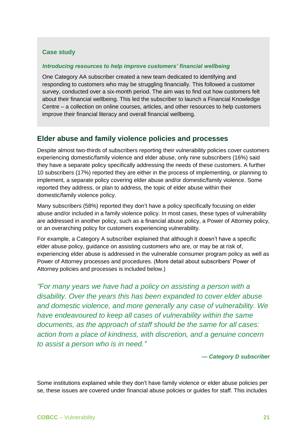### **Case study**

### *Introducing resources to help improve customers' financial wellbeing*

One Category AA subscriber created a new team dedicated to identifying and responding to customers who may be struggling financially. This followed a customer survey, conducted over a six-month period. The aim was to find out how customers felt about their financial wellbeing. This led the subscriber to launch a Financial Knowledge Centre – a collection on online courses, articles, and other resources to help customers improve their financial literacy and overall financial wellbeing.

### <span id="page-20-0"></span>**Elder abuse and family violence policies and processes**

Despite almost two-thirds of subscribers reporting their vulnerability policies cover customers experiencing domestic/family violence and elder abuse, only nine subscribers (16%) said they have a separate policy specifically addressing the needs of these customers. A further 10 subscribers (17%) reported they are either in the process of implementing, or planning to implement, a separate policy covering elder abuse and/or domestic/family violence. Some reported they address, or plan to address, the topic of elder abuse within their domestic/family violence policy.

Many subscribers (58%) reported they don't have a policy specifically focusing on elder abuse and/or included in a family violence policy. In most cases, these types of vulnerability are addressed in another policy, such as a financial abuse policy, a Power of Attorney policy, or an overarching policy for customers experiencing vulnerability.

For example, a Category A subscriber explained that although it doesn't have a specific elder abuse policy, guidance on assisting customers who are, or may be at risk of, experiencing elder abuse is addressed in the vulnerable consumer program policy as well as Power of Attorney processes and procedures. (More detail about subscribers' Power of Attorney policies and processes is included below.)

*"For many years we have had a policy on assisting a person with a disability. Over the years this has been expanded to cover elder abuse and domestic violence, and more generally any case of vulnerability. We have endeavoured to keep all cases of vulnerability within the same documents, as the approach of staff should be the same for all cases: action from a place of kindness, with discretion, and a genuine concern to assist a person who is in need."*

*— Category D subscriber*

Some institutions explained while they don't have family violence or elder abuse policies per se, these issues are covered under financial abuse policies or guides for staff. This includes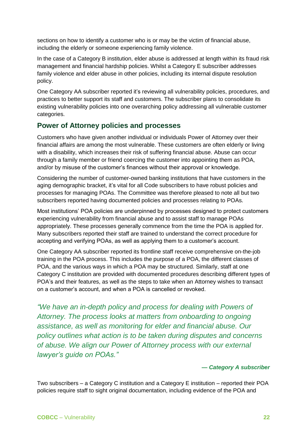sections on how to identify a customer who is or may be the victim of financial abuse, including the elderly or someone experiencing family violence.

In the case of a Category B institution, elder abuse is addressed at length within its fraud risk management and financial hardship policies. Whilst a Category E subscriber addresses family violence and elder abuse in other policies, including its internal dispute resolution policy.

One Category AA subscriber reported it's reviewing all vulnerability policies, procedures, and practices to better support its staff and customers. The subscriber plans to consolidate its existing vulnerability policies into one overarching policy addressing all vulnerable customer categories.

### <span id="page-21-0"></span>**Power of Attorney policies and processes**

Customers who have given another individual or individuals Power of Attorney over their financial affairs are among the most vulnerable. These customers are often elderly or living with a disability, which increases their risk of suffering financial abuse. Abuse can occur through a family member or friend coercing the customer into appointing them as POA, and/or by misuse of the customer's finances without their approval or knowledge.

Considering the number of customer-owned banking institutions that have customers in the aging demographic bracket, it's vital for all Code subscribers to have robust policies and processes for managing POAs. The Committee was therefore pleased to note all but two subscribers reported having documented policies and processes relating to POAs.

Most institutions' POA policies are underpinned by processes designed to protect customers experiencing vulnerability from financial abuse and to assist staff to manage POAs appropriately. These processes generally commence from the time the POA is applied for. Many subscribers reported their staff are trained to understand the correct procedure for accepting and verifying POAs, as well as applying them to a customer's account.

One Category AA subscriber reported its frontline staff receive comprehensive on-the-job training in the POA process. This includes the purpose of a POA, the different classes of POA, and the various ways in which a POA may be structured. Similarly, staff at one Category C institution are provided with documented procedures describing different types of POA's and their features, as well as the steps to take when an Attorney wishes to transact on a customer's account, and when a POA is cancelled or revoked.

*"We have an in-depth policy and process for dealing with Powers of Attorney. The process looks at matters from onboarding to ongoing assistance, as well as monitoring for elder and financial abuse. Our policy outlines what action is to be taken during disputes and concerns of abuse. We align our Power of Attorney process with our external lawyer's guide on POAs."*

### *— Category A subscriber*

Two subscribers – a Category C institution and a Category E institution – reported their POA policies require staff to sight original documentation, including evidence of the POA and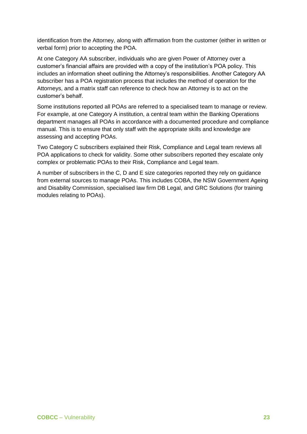identification from the Attorney, along with affirmation from the customer (either in written or verbal form) prior to accepting the POA.

At one Category AA subscriber, individuals who are given Power of Attorney over a customer's financial affairs are provided with a copy of the institution's POA policy. This includes an information sheet outlining the Attorney's responsibilities. Another Category AA subscriber has a POA registration process that includes the method of operation for the Attorneys, and a matrix staff can reference to check how an Attorney is to act on the customer's behalf.

Some institutions reported all POAs are referred to a specialised team to manage or review. For example, at one Category A institution, a central team within the Banking Operations department manages all POAs in accordance with a documented procedure and compliance manual. This is to ensure that only staff with the appropriate skills and knowledge are assessing and accepting POAs.

Two Category C subscribers explained their Risk, Compliance and Legal team reviews all POA applications to check for validity. Some other subscribers reported they escalate only complex or problematic POAs to their Risk, Compliance and Legal team.

A number of subscribers in the C, D and E size categories reported they rely on guidance from external sources to manage POAs. This includes COBA, the NSW Government Ageing and Disability Commission, specialised law firm DB Legal, and GRC Solutions (for training modules relating to POAs).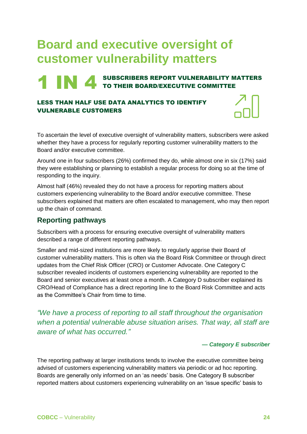## <span id="page-23-0"></span>**Board and executive oversight of customer vulnerability matters**

### **1 IN 4 SUBSCRIBERS REPORT VULNERABILITY MATTERS** TO THEIR BOARD/EXECUTIVE COMMITTEE

### LESS THAN HALF USE DATA ANALYTICS TO IDENTIFY VULNERABLE CUSTOMERS

To ascertain the level of executive oversight of vulnerability matters, subscribers were asked whether they have a process for regularly reporting customer vulnerability matters to the Board and/or executive committee.

Around one in four subscribers (26%) confirmed they do, while almost one in six (17%) said they were establishing or planning to establish a regular process for doing so at the time of responding to the inquiry.

Almost half (46%) revealed they do not have a process for reporting matters about customers experiencing vulnerability to the Board and/or executive committee. These subscribers explained that matters are often escalated to management, who may then report up the chain of command.

### <span id="page-23-1"></span>**Reporting pathways**

Subscribers with a process for ensuring executive oversight of vulnerability matters described a range of different reporting pathways.

Smaller and mid-sized institutions are more likely to regularly apprise their Board of customer vulnerability matters. This is often via the Board Risk Committee or through direct updates from the Chief Risk Officer (CRO) or Customer Advocate. One Category C subscriber revealed incidents of customers experiencing vulnerability are reported to the Board and senior executives at least once a month. A Category D subscriber explained its CRO/Head of Compliance has a direct reporting line to the Board Risk Committee and acts as the Committee's Chair from time to time.

*"We have a process of reporting to all staff throughout the organisation when a potential vulnerable abuse situation arises. That way, all staff are aware of what has occurred."*

### *— Category E subscriber*

The reporting pathway at larger institutions tends to involve the executive committee being advised of customers experiencing vulnerability matters via periodic or ad hoc reporting. Boards are generally only informed on an 'as needs' basis. One Category B subscriber reported matters about customers experiencing vulnerability on an 'issue specific' basis to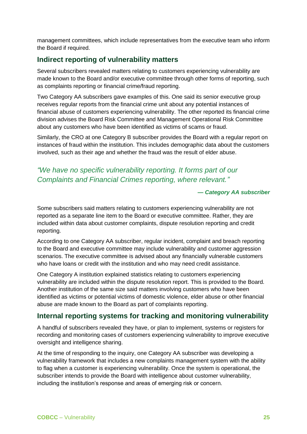management committees, which include representatives from the executive team who inform the Board if required.

### <span id="page-24-0"></span>**Indirect reporting of vulnerability matters**

Several subscribers revealed matters relating to customers experiencing vulnerability are made known to the Board and/or executive committee through other forms of reporting, such as complaints reporting or financial crime/fraud reporting.

Two Category AA subscribers gave examples of this. One said its senior executive group receives regular reports from the financial crime unit about any potential instances of financial abuse of customers experiencing vulnerability. The other reported its financial crime division advises the Board Risk Committee and Management Operational Risk Committee about any customers who have been identified as victims of scams or fraud.

Similarly, the CRO at one Category B subscriber provides the Board with a regular report on instances of fraud within the institution. This includes demographic data about the customers involved, such as their age and whether the fraud was the result of elder abuse.

### *"We have no specific vulnerability reporting. It forms part of our Complaints and Financial Crimes reporting, where relevant."*

### *— Category AA subscriber*

Some subscribers said matters relating to customers experiencing vulnerability are not reported as a separate line item to the Board or executive committee. Rather, they are included within data about customer complaints, dispute resolution reporting and credit reporting.

According to one Category AA subscriber, regular incident, complaint and breach reporting to the Board and executive committee may include vulnerability and customer aggression scenarios. The executive committee is advised about any financially vulnerable customers who have loans or credit with the institution and who may need credit assistance.

One Category A institution explained statistics relating to customers experiencing vulnerability are included within the dispute resolution report. This is provided to the Board. Another institution of the same size said matters involving customers who have been identified as victims or potential victims of domestic violence, elder abuse or other financial abuse are made known to the Board as part of complaints reporting.

### <span id="page-24-1"></span>**Internal reporting systems for tracking and monitoring vulnerability**

A handful of subscribers revealed they have, or plan to implement, systems or registers for recording and monitoring cases of customers experiencing vulnerability to improve executive oversight and intelligence sharing.

At the time of responding to the inquiry, one Category AA subscriber was developing a vulnerability framework that includes a new complaints management system with the ability to flag when a customer is experiencing vulnerability. Once the system is operational, the subscriber intends to provide the Board with intelligence about customer vulnerability, including the institution's response and areas of emerging risk or concern.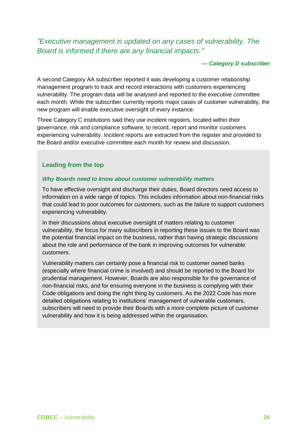*"Executive management is updated on any cases of vulnerability. The Board is informed if there are any financial impacts."*

#### *— Category D subscriber*

A second Category AA subscriber reported it was developing a customer relationship management program to track and record interactions with customers experiencing vulnerability. The program data will be analysed and reported to the executive committee each month. While the subscriber currently reports major cases of customer vulnerability, the new program will enable executive oversight of every instance.

Three Category C institutions said they use incident registers, located within their governance, risk and compliance software, to record, report and monitor customers experiencing vulnerability. Incident reports are extracted from the register and provided to the Board and/or executive committee each month for review and discussion.

### **Leading from the top**

### *Why Boards need to know about customer vulnerability matters*

To have effective oversight and discharge their duties, Board directors need access to information on a wide range of topics. This includes information about non-financial risks that could lead to poor outcomes for customers, such as the failure to support customers experiencing vulnerability.

In their discussions about executive oversight of matters relating to customer vulnerability, the focus for many subscribers in reporting these issues to the Board was the potential financial impact on the business, rather than having strategic discussions about the role and performance of the bank in improving outcomes for vulnerable customers.

Vulnerability matters can certainly pose a financial risk to customer owned banks (especially where financial crime is involved) and should be reported to the Board for prudential management. However, Boards are also responsible for the governance of non-financial risks, and for ensuring everyone in the business is complying with their Code obligations and doing the right thing by customers. As the 2022 Code has more detailed obligations relating to institutions' management of vulnerable customers, subscribers will need to provide their Boards with a more complete picture of customer vulnerability and how it is being addressed within the organisation.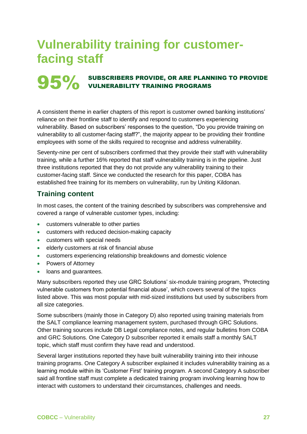### <span id="page-26-0"></span>**Vulnerability training for customerfacing staff**

## **95%** SUBSCRIBERS PROVIDE, OR ARE PLANNING TO PROVIDE<br>VULNERABILITY TRAINING PROGRAMS

A consistent theme in earlier chapters of this report is customer owned banking institutions' reliance on their frontline staff to identify and respond to customers experiencing vulnerability. Based on subscribers' responses to the question, "Do you provide training on vulnerability to all customer-facing staff?", the majority appear to be providing their frontline employees with some of the skills required to recognise and address vulnerability.

Seventy-nine per cent of subscribers confirmed that they provide their staff with vulnerability training, while a further 16% reported that staff vulnerability training is in the pipeline. Just three institutions reported that they do not provide any vulnerability training to their customer-facing staff. Since we conducted the research for this paper, COBA has established free training for its members on vulnerability, run by Uniting Kildonan.

### <span id="page-26-1"></span>**Training content**

In most cases, the content of the training described by subscribers was comprehensive and covered a range of vulnerable customer types, including:

- customers vulnerable to other parties
- customers with reduced decision-making capacity
- customers with special needs
- elderly customers at risk of financial abuse
- customers experiencing relationship breakdowns and domestic violence
- Powers of Attorney
- loans and guarantees.

Many subscribers reported they use GRC Solutions' six-module training program, 'Protecting vulnerable customers from potential financial abuse', which covers several of the topics listed above. This was most popular with mid-sized institutions but used by subscribers from all size categories.

Some subscribers (mainly those in Category D) also reported using training materials from the SALT compliance learning management system, purchased through GRC Solutions. Other training sources include DB Legal compliance notes, and regular bulletins from COBA and GRC Solutions. One Category D subscriber reported it emails staff a monthly SALT topic, which staff must confirm they have read and understood.

Several larger institutions reported they have built vulnerability training into their inhouse training programs. One Category A subscriber explained it includes vulnerability training as a learning module within its 'Customer First' training program. A second Category A subscriber said all frontline staff must complete a dedicated training program involving learning how to interact with customers to understand their circumstances, challenges and needs.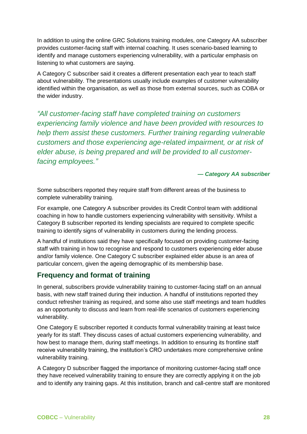In addition to using the online GRC Solutions training modules, one Category AA subscriber provides customer-facing staff with internal coaching. It uses scenario-based learning to identify and manage customers experiencing vulnerability, with a particular emphasis on listening to what customers are saying.

A Category C subscriber said it creates a different presentation each year to teach staff about vulnerability. The presentations usually include examples of customer vulnerability identified within the organisation, as well as those from external sources, such as COBA or the wider industry.

*"All customer-facing staff have completed training on customers experiencing family violence and have been provided with resources to help them assist these customers. Further training regarding vulnerable customers and those experiencing age-related impairment, or at risk of elder abuse, is being prepared and will be provided to all customerfacing employees."*

### *— Category AA subscriber*

Some subscribers reported they require staff from different areas of the business to complete vulnerability training.

For example, one Category A subscriber provides its Credit Control team with additional coaching in how to handle customers experiencing vulnerability with sensitivity. Whilst a Category B subscriber reported its lending specialists are required to complete specific training to identify signs of vulnerability in customers during the lending process.

A handful of institutions said they have specifically focused on providing customer-facing staff with training in how to recognise and respond to customers experiencing elder abuse and/or family violence. One Category C subscriber explained elder abuse is an area of particular concern, given the ageing demographic of its membership base.

### <span id="page-27-0"></span>**Frequency and format of training**

In general, subscribers provide vulnerability training to customer-facing staff on an annual basis, with new staff trained during their induction. A handful of institutions reported they conduct refresher training as required, and some also use staff meetings and team huddles as an opportunity to discuss and learn from real-life scenarios of customers experiencing vulnerability.

One Category E subscriber reported it conducts formal vulnerability training at least twice yearly for its staff. They discuss cases of actual customers experiencing vulnerability, and how best to manage them, during staff meetings. In addition to ensuring its frontline staff receive vulnerability training, the institution's CRO undertakes more comprehensive online vulnerability training.

A Category D subscriber flagged the importance of monitoring customer-facing staff once they have received vulnerability training to ensure they are correctly applying it on the job and to identify any training gaps. At this institution, branch and call-centre staff are monitored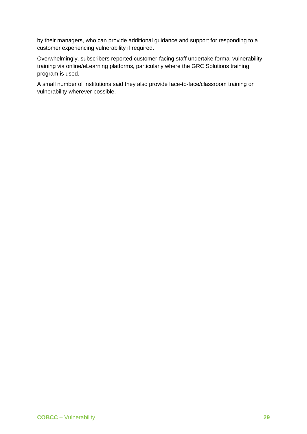by their managers, who can provide additional guidance and support for responding to a customer experiencing vulnerability if required.

Overwhelmingly, subscribers reported customer-facing staff undertake formal vulnerability training via online/eLearning platforms, particularly where the GRC Solutions training program is used.

A small number of institutions said they also provide face-to-face/classroom training on vulnerability wherever possible.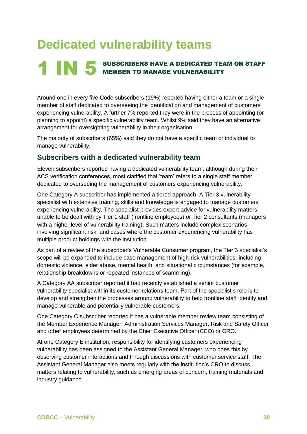## <span id="page-29-0"></span>**Dedicated vulnerability teams**

## **1 IN 5** SUBSCRIBERS HAVE A DEDICATED TEAM OR STAFF MEMBER TO MANAGE VULNERABILITY

Around one in every five Code subscribers (19%) reported having either a team or a single member of staff dedicated to overseeing the identification and management of customers experiencing vulnerability. A further 7% reported they were in the process of appointing (or planning to appoint) a specific vulnerability team. Whilst 9% said they have an alternative arrangement for oversighting vulnerability in their organisation.

The majority of subscribers (65%) said they do not have a specific team or individual to manage vulnerability.

### <span id="page-29-1"></span>**Subscribers with a dedicated vulnerability team**

Eleven subscribers reported having a dedicated vulnerability team, although during their ACS verification conferences, most clarified that 'team' refers to a single staff member dedicated to overseeing the management of customers experiencing vulnerability.

One Category A subscriber has implemented a tiered approach. A Tier 3 vulnerability specialist with extensive training, skills and knowledge is engaged to manage customers experiencing vulnerability. The specialist provides expert advice for vulnerability matters unable to be dealt with by Tier 1 staff (frontline employees) or Tier 2 consultants (managers with a higher level of vulnerability training). Such matters include complex scenarios involving significant risk, and cases where the customer experiencing vulnerability has multiple product holdings with the institution.

As part of a review of the subscriber's Vulnerable Consumer program, the Tier 3 specialist's scope will be expanded to include case management of high-risk vulnerabilities, including domestic violence, elder abuse, mental health, and situational circumstances (for example, relationship breakdowns or repeated instances of scamming).

A Category AA subscriber reported it had recently established a senior customer vulnerability specialist within its customer relations team. Part of the specialist's role is to develop and strengthen the processes around vulnerability to help frontline staff identify and manage vulnerable and potentially vulnerable customers.

One Category C subscriber reported it has a vulnerable member review team consisting of the Member Experience Manager, Administration Services Manager, Risk and Safety Officer and other employees determined by the Chief Executive Officer (CEO) or CRO.

At one Category E institution, responsibility for identifying customers experiencing vulnerability has been assigned to the Assistant General Manager, who does this by observing customer interactions and through discussions with customer service staff. The Assistant General Manager also meets regularly with the institution's CRO to discuss matters relating to vulnerability, such as emerging areas of concern, training materials and industry guidance.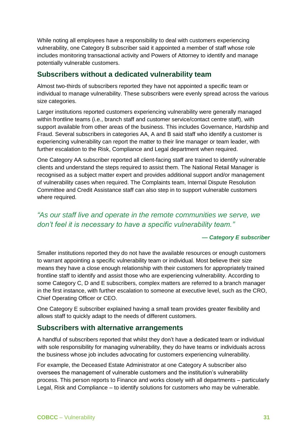While noting all employees have a responsibility to deal with customers experiencing vulnerability, one Category B subscriber said it appointed a member of staff whose role includes monitoring transactional activity and Powers of Attorney to identify and manage potentially vulnerable customers.

### <span id="page-30-0"></span>**Subscribers without a dedicated vulnerability team**

Almost two-thirds of subscribers reported they have not appointed a specific team or individual to manage vulnerability. These subscribers were evenly spread across the various size categories.

Larger institutions reported customers experiencing vulnerability were generally managed within frontline teams (i.e., branch staff and customer service/contact centre staff), with support available from other areas of the business. This includes Governance, Hardship and Fraud. Several subscribers in categories AA, A and B said staff who identify a customer is experiencing vulnerability can report the matter to their line manager or team leader, with further escalation to the Risk, Compliance and Legal department when required.

One Category AA subscriber reported all client-facing staff are trained to identify vulnerable clients and understand the steps required to assist them. The National Retail Manager is recognised as a subject matter expert and provides additional support and/or management of vulnerability cases when required. The Complaints team, Internal Dispute Resolution Committee and Credit Assistance staff can also step in to support vulnerable customers where required.

### *"As our staff live and operate in the remote communities we serve, we don't feel it is necessary to have a specific vulnerability team."*

### *— Category E subscriber*

Smaller institutions reported they do not have the available resources or enough customers to warrant appointing a specific vulnerability team or individual. Most believe their size means they have a close enough relationship with their customers for appropriately trained frontline staff to identify and assist those who are experiencing vulnerability. According to some Category C, D and E subscribers, complex matters are referred to a branch manager in the first instance, with further escalation to someone at executive level, such as the CRO, Chief Operating Officer or CEO.

One Category E subscriber explained having a small team provides greater flexibility and allows staff to quickly adapt to the needs of different customers.

### <span id="page-30-1"></span>**Subscribers with alternative arrangements**

A handful of subscribers reported that whilst they don't have a dedicated team or individual with sole responsibility for managing vulnerability, they do have teams or individuals across the business whose job includes advocating for customers experiencing vulnerability.

For example, the Deceased Estate Administrator at one Category A subscriber also oversees the management of vulnerable customers and the institution's vulnerability process. This person reports to Finance and works closely with all departments – particularly Legal, Risk and Compliance – to identify solutions for customers who may be vulnerable.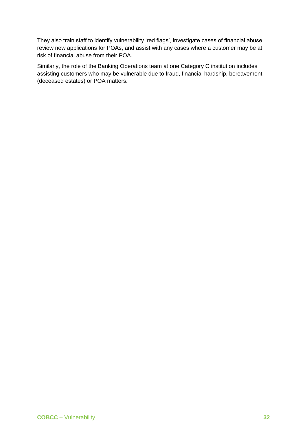They also train staff to identify vulnerability 'red flags', investigate cases of financial abuse, review new applications for POAs, and assist with any cases where a customer may be at risk of financial abuse from their POA.

Similarly, the role of the Banking Operations team at one Category C institution includes assisting customers who may be vulnerable due to fraud, financial hardship, bereavement (deceased estates) or POA matters.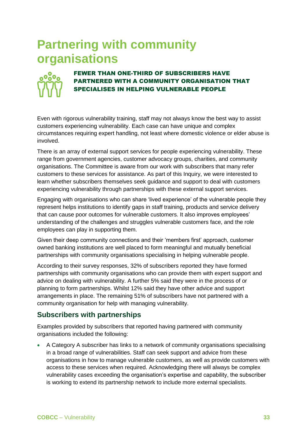### <span id="page-32-0"></span>**Partnering with community organisations**



### FEWER THAN ONE-THIRD OF SUBSCRIBERS HAVE PARTNERED WITH A COMMUNITY ORGANISATION THAT SPECIALISES IN HELPING VULNERABLE PEOPLE

Even with rigorous vulnerability training, staff may not always know the best way to assist customers experiencing vulnerability. Each case can have unique and complex circumstances requiring expert handling, not least where domestic violence or elder abuse is involved.

There is an array of external support services for people experiencing vulnerability. These range from government agencies, customer advocacy groups, charities, and community organisations. The Committee is aware from our work with subscribers that many refer customers to these services for assistance. As part of this Inquiry, we were interested to learn whether subscribers themselves seek guidance and support to deal with customers experiencing vulnerability through partnerships with these external support services.

Engaging with organisations who can share 'lived experience' of the vulnerable people they represent helps institutions to identify gaps in staff training, products and service delivery that can cause poor outcomes for vulnerable customers. It also improves employees' understanding of the challenges and struggles vulnerable customers face, and the role employees can play in supporting them.

Given their deep community connections and their 'members first' approach, customer owned banking institutions are well placed to form meaningful and mutually beneficial partnerships with community organisations specialising in helping vulnerable people.

According to their survey responses, 32% of subscribers reported they have formed partnerships with community organisations who can provide them with expert support and advice on dealing with vulnerability. A further 5% said they were in the process of or planning to form partnerships. Whilst 12% said they have other advice and support arrangements in place. The remaining 51% of subscribers have not partnered with a community organisation for help with managing vulnerability.

### <span id="page-32-1"></span>**Subscribers with partnerships**

Examples provided by subscribers that reported having partnered with community organisations included the following:

• A Category A subscriber has links to a network of community organisations specialising in a broad range of vulnerabilities. Staff can seek support and advice from these organisations in how to manage vulnerable customers, as well as provide customers with access to these services when required. Acknowledging there will always be complex vulnerability cases exceeding the organisation's expertise and capability, the subscriber is working to extend its partnership network to include more external specialists.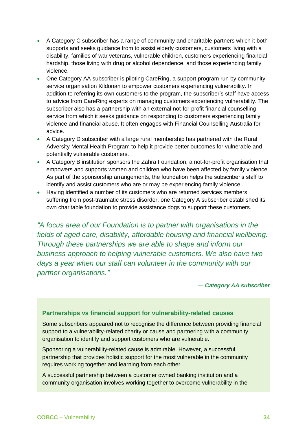- A Category C subscriber has a range of community and charitable partners which it both supports and seeks guidance from to assist elderly customers, customers living with a disability, families of war veterans, vulnerable children, customers experiencing financial hardship, those living with drug or alcohol dependence, and those experiencing family violence.
- One Category AA subscriber is piloting CareRing, a support program run by community service organisation Kildonan to empower customers experiencing vulnerability. In addition to referring its own customers to the program, the subscriber's staff have access to advice from CareRing experts on managing customers experiencing vulnerability. The subscriber also has a partnership with an external not-for-profit financial counselling service from which it seeks guidance on responding to customers experiencing family violence and financial abuse. It often engages with Financial Counselling Australia for advice.
- A Category D subscriber with a large rural membership has partnered with the Rural Adversity Mental Health Program to help it provide better outcomes for vulnerable and potentially vulnerable customers.
- A Category B institution sponsors the Zahra Foundation, a not-for-profit organisation that empowers and supports women and children who have been affected by family violence. As part of the sponsorship arrangements, the foundation helps the subscriber's staff to identify and assist customers who are or may be experiencing family violence.
- Having identified a number of its customers who are returned services members suffering from post-traumatic stress disorder, one Category A subscriber established its own charitable foundation to provide assistance dogs to support these customers.

*"A focus area of our Foundation is to partner with organisations in the fields of aged care, disability, affordable housing and financial wellbeing. Through these partnerships we are able to shape and inform our business approach to helping vulnerable customers. We also have two days a year when our staff can volunteer in the community with our partner organisations."*

*— Category AA subscriber*

### **Partnerships vs financial support for vulnerability-related causes**

Some subscribers appeared not to recognise the difference between providing financial support to a vulnerability-related charity or cause and partnering with a community organisation to identify and support customers who are vulnerable.

Sponsoring a vulnerability-related cause is admirable. However, a successful partnership that provides holistic support for the most vulnerable in the community requires working together and learning from each other.

A successful partnership between a customer owned banking institution and a community organisation involves working together to overcome vulnerability in the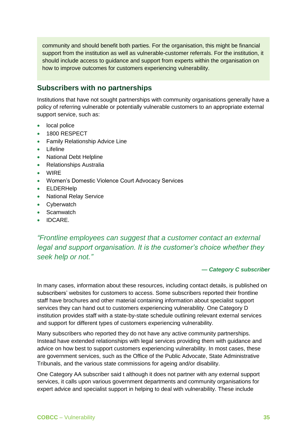community and should benefit both parties. For the organisation, this might be financial support from the institution as well as vulnerable-customer referrals. For the institution, it should include access to guidance and support from experts within the organisation on how to improve outcomes for customers experiencing vulnerability.

### <span id="page-34-0"></span>**Subscribers with no partnerships**

Institutions that have not sought partnerships with community organisations generally have a policy of referring vulnerable or potentially vulnerable customers to an appropriate external support service, such as:

- local police
- 1800 RESPECT
- Family Relationship Advice Line
- Lifeline
- National Debt Helpline
- Relationships Australia
- WIRE
- Women's Domestic Violence Court Advocacy Services
- ELDERHelp
- National Relay Service
- Cyberwatch
- Scamwatch
- IDCARE.

*"Frontline employees can suggest that a customer contact an external legal and support organisation. It is the customer's choice whether they seek help or not."*

### *— Category C subscriber*

In many cases, information about these resources, including contact details, is published on subscribers' websites for customers to access. Some subscribers reported their frontline staff have brochures and other material containing information about specialist support services they can hand out to customers experiencing vulnerability. One Category D institution provides staff with a state-by-state schedule outlining relevant external services and support for different types of customers experiencing vulnerability.

Many subscribers who reported they do not have any active community partnerships. Instead have extended relationships with legal services providing them with guidance and advice on how best to support customers experiencing vulnerability. In most cases, these are government services, such as the Office of the Public Advocate, State Administrative Tribunals, and the various state commissions for ageing and/or disability.

One Category AA subscriber said t although it does not partner with any external support services, it calls upon various government departments and community organisations for expert advice and specialist support in helping to deal with vulnerability. These include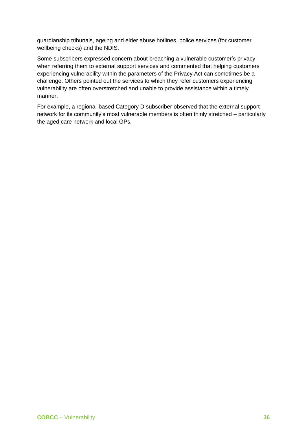guardianship tribunals, ageing and elder abuse hotlines, police services (for customer wellbeing checks) and the NDIS.

Some subscribers expressed concern about breaching a vulnerable customer's privacy when referring them to external support services and commented that helping customers experiencing vulnerability within the parameters of the Privacy Act can sometimes be a challenge. Others pointed out the services to which they refer customers experiencing vulnerability are often overstretched and unable to provide assistance within a timely manner.

For example, a regional-based Category D subscriber observed that the external support network for its community's most vulnerable members is often thinly stretched – particularly the aged care network and local GPs.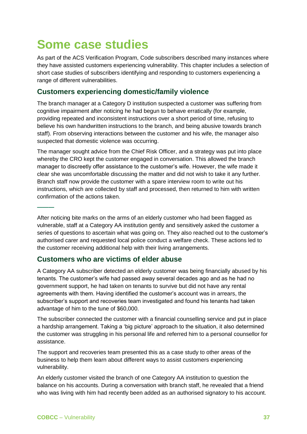## <span id="page-36-0"></span>**Some case studies**

As part of the ACS Verification Program, Code subscribers described many instances where they have assisted customers experiencing vulnerability. This chapter includes a selection of short case studies of subscribers identifying and responding to customers experiencing a range of different vulnerabilities.

### <span id="page-36-1"></span>**Customers experiencing domestic/family violence**

The branch manager at a Category D institution suspected a customer was suffering from cognitive impairment after noticing he had begun to behave erratically (for example, providing repeated and inconsistent instructions over a short period of time, refusing to believe his own handwritten instructions to the branch, and being abusive towards branch staff). From observing interactions between the customer and his wife, the manager also suspected that domestic violence was occurring.

The manager sought advice from the Chief Risk Officer, and a strategy was put into place whereby the CRO kept the customer engaged in conversation. This allowed the branch manager to discreetly offer assistance to the customer's wife. However, the wife made it clear she was uncomfortable discussing the matter and did not wish to take it any further. Branch staff now provide the customer with a spare interview room to write out his instructions, which are collected by staff and processed, then returned to him with written confirmation of the actions taken.

After noticing bite marks on the arms of an elderly customer who had been flagged as vulnerable, staff at a Category AA institution gently and sensitively asked the customer a series of questions to ascertain what was going on. They also reached out to the customer's authorised carer and requested local police conduct a welfare check. These actions led to the customer receiving additional help with their living arrangements.

### <span id="page-36-2"></span>**Customers who are victims of elder abuse**

A Category AA subscriber detected an elderly customer was being financially abused by his tenants. The customer's wife had passed away several decades ago and as he had no government support, he had taken on tenants to survive but did not have any rental agreements with them. Having identified the customer's account was in arrears, the subscriber's support and recoveries team investigated and found his tenants had taken advantage of him to the tune of \$60,000.

The subscriber connected the customer with a financial counselling service and put in place a hardship arrangement. Taking a 'big picture' approach to the situation, it also determined the customer was struggling in his personal life and referred him to a personal counsellor for assistance.

The support and recoveries team presented this as a case study to other areas of the business to help them learn about different ways to assist customers experiencing vulnerability.

An elderly customer visited the branch of one Category AA institution to question the balance on his accounts. During a conversation with branch staff, he revealed that a friend who was living with him had recently been added as an authorised signatory to his account.

**———**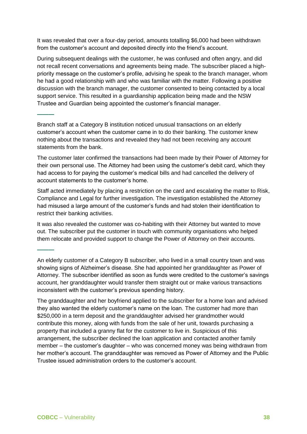It was revealed that over a four-day period, amounts totalling \$6,000 had been withdrawn from the customer's account and deposited directly into the friend's account.

During subsequent dealings with the customer, he was confused and often angry, and did not recall recent conversations and agreements being made. The subscriber placed a highpriority message on the customer's profile, advising he speak to the branch manager, whom he had a good relationship with and who was familiar with the matter. Following a positive discussion with the branch manager, the customer consented to being contacted by a local support service. This resulted in a guardianship application being made and the NSW Trustee and Guardian being appointed the customer's financial manager.

Branch staff at a Category B institution noticed unusual transactions on an elderly customer's account when the customer came in to do their banking. The customer knew nothing about the transactions and revealed they had not been receiving any account statements from the bank.

The customer later confirmed the transactions had been made by their Power of Attorney for their own personal use. The Attorney had been using the customer's debit card, which they had access to for paying the customer's medical bills and had cancelled the delivery of account statements to the customer's home.

Staff acted immediately by placing a restriction on the card and escalating the matter to Risk, Compliance and Legal for further investigation. The investigation established the Attorney had misused a large amount of the customer's funds and had stolen their identification to restrict their banking activities.

It was also revealed the customer was co-habiting with their Attorney but wanted to move out. The subscriber put the customer in touch with community organisations who helped them relocate and provided support to change the Power of Attorney on their accounts.

The granddaughter and her boyfriend applied to the subscriber for a home loan and advised they also wanted the elderly customer's name on the loan. The customer had more than \$250,000 in a term deposit and the granddaughter advised her grandmother would contribute this money, along with funds from the sale of her unit, towards purchasing a property that included a granny flat for the customer to live in. Suspicious of this arrangement, the subscriber declined the loan application and contacted another family member – the customer's daughter – who was concerned money was being withdrawn from her mother's account. The granddaughter was removed as Power of Attorney and the Public Trustee issued administration orders to the customer's account.

**———**

**———**

An elderly customer of a Category B subscriber, who lived in a small country town and was showing signs of Alzheimer's disease. She had appointed her granddaughter as Power of Attorney. The subscriber identified as soon as funds were credited to the customer's savings account, her granddaughter would transfer them straight out or make various transactions inconsistent with the customer's previous spending history.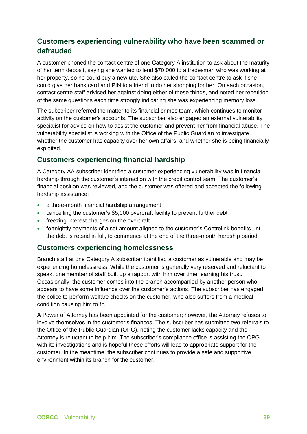### <span id="page-38-0"></span>**Customers experiencing vulnerability who have been scammed or defrauded**

A customer phoned the contact centre of one Category A institution to ask about the maturity of her term deposit, saying she wanted to lend \$70,000 to a tradesman who was working at her property, so he could buy a new ute. She also called the contact centre to ask if she could give her bank card and PIN to a friend to do her shopping for her. On each occasion, contact centre staff advised her against doing either of these things, and noted her repetition of the same questions each time strongly indicating she was experiencing memory loss.

The subscriber referred the matter to its financial crimes team, which continues to monitor activity on the customer's accounts. The subscriber also engaged an external vulnerability specialist for advice on how to assist the customer and prevent her from financial abuse. The vulnerability specialist is working with the Office of the Public Guardian to investigate whether the customer has capacity over her own affairs, and whether she is being financially exploited.

### <span id="page-38-1"></span>**Customers experiencing financial hardship**

A Category AA subscriber identified a customer experiencing vulnerability was in financial hardship through the customer's interaction with the credit control team. The customer's financial position was reviewed, and the customer was offered and accepted the following hardship assistance:

- a three-month financial hardship arrangement
- cancelling the customer's \$5,000 overdraft facility to prevent further debt
- freezing interest charges on the overdraft
- fortnightly payments of a set amount aligned to the customer's Centrelink benefits until the debt is repaid in full, to commence at the end of the three-month hardship period.

### <span id="page-38-2"></span>**Customers experiencing homelessness**

Branch staff at one Category A subscriber identified a customer as vulnerable and may be experiencing homelessness. While the customer is generally very reserved and reluctant to speak, one member of staff built up a rapport with him over time, earning his trust. Occasionally, the customer comes into the branch accompanied by another person who appears to have some influence over the customer's actions. The subscriber has engaged the police to perform welfare checks on the customer, who also suffers from a medical condition causing him to fit.

A Power of Attorney has been appointed for the customer; however, the Attorney refuses to involve themselves in the customer's finances. The subscriber has submitted two referrals to the Office of the Public Guardian (OPG), noting the customer lacks capacity and the Attorney is reluctant to help him. The subscriber's compliance office is assisting the OPG with its investigations and is hopeful these efforts will lead to appropriate support for the customer. In the meantime, the subscriber continues to provide a safe and supportive environment within its branch for the customer.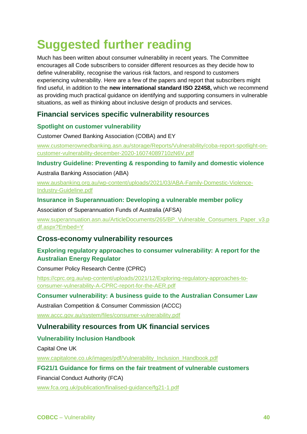## <span id="page-39-0"></span>**Suggested further reading**

Much has been written about consumer vulnerability in recent years. The Committee encourages all Code subscribers to consider different resources as they decide how to define vulnerability, recognise the various risk factors, and respond to customers experiencing vulnerability. Here are a few of the papers and report that subscribers might find useful, in addition to the **new international standard ISO 22458,** which we recommend as providing much practical guidance on identifying and supporting consumers in vulnerable situations, as well as thinking about inclusive design of products and services.

### <span id="page-39-1"></span>**Financial services specific vulnerability resources**

### **Spotlight on customer vulnerability**

Customer Owned Banking Association (COBA) and EY

[www.customerownedbanking.asn.au/storage/Reports/Vulnerability/coba-report-spotlight-on](http://www.customerownedbanking.asn.au/storage/Reports/Vulnerability/coba-report-spotlight-on-customer-vulnerability-december-2020-16074089710zN6V.pdf)[customer-vulnerability-december-2020-16074089710zN6V.pdf](http://www.customerownedbanking.asn.au/storage/Reports/Vulnerability/coba-report-spotlight-on-customer-vulnerability-december-2020-16074089710zN6V.pdf)

### **Industry Guideline: Preventing & responding to family and domestic violence**

Australia Banking Association (ABA)

[www.ausbanking.org.au/wp-content/uploads/2021/03/ABA-Family-Domestic-Violence-](http://www.ausbanking.org.au/wp-content/uploads/2021/03/ABA-Family-Domestic-Violence-Industry-Guideline.pdf)[Industry-Guideline.pdf](http://www.ausbanking.org.au/wp-content/uploads/2021/03/ABA-Family-Domestic-Violence-Industry-Guideline.pdf)

### **Insurance in Superannuation: Developing a vulnerable member policy**

Association of Superannuation Funds of Australia (AFSA)

[www.superannuation.asn.au/ArticleDocuments/265/BP\\_Vulnerable\\_Consumers\\_Paper\\_v3.p](http://www.superannuation.asn.au/ArticleDocuments/265/BP_Vulnerable_Consumers_Paper_v3.pdf.aspx?Embed=Y) [df.aspx?Embed=Y](http://www.superannuation.asn.au/ArticleDocuments/265/BP_Vulnerable_Consumers_Paper_v3.pdf.aspx?Embed=Y)

### <span id="page-39-2"></span>**Cross-economy vulnerability resources**

### **Exploring regulatory approaches to consumer vulnerability: A report for the Australian Energy Regulator**

Consumer Policy Research Centre (CPRC)

[https://cprc.org.au/wp-content/uploads/2021/12/Exploring-regulatory-approaches-to](https://cprc.org.au/wp-content/uploads/2021/12/Exploring-regulatory-approaches-to-consumer-vulnerability-A-CPRC-report-for-the-AER.pdf)[consumer-vulnerability-A-CPRC-report-for-the-AER.pdf](https://cprc.org.au/wp-content/uploads/2021/12/Exploring-regulatory-approaches-to-consumer-vulnerability-A-CPRC-report-for-the-AER.pdf)

### **Consumer vulnerability: A business guide to the Australian Consumer Law**

Australian Competition & Consumer Commission (ACCC)

[www.accc.gov.au/system/files/consumer-vulnerability.pdf](http://www.accc.gov.au/system/files/consumer-vulnerability.pdf)

### <span id="page-39-3"></span>**Vulnerability resources from UK financial services**

### **Vulnerability Inclusion Handbook**

Capital One UK

[www.capitalone.co.uk/images/pdf/Vulnerability\\_Inclusion\\_Handbook.pdf](http://www.capitalone.co.uk/images/pdf/Vulnerability_Inclusion_Handbook.pdf)

### **FG21/1 Guidance for firms on the fair treatment of vulnerable customers**

Financial Conduct Authority (FCA)

[www.fca.org.uk/publication/finalised-guidance/fg21-1.pdf](http://www.fca.org.uk/publication/finalised-guidance/fg21-1.pdf)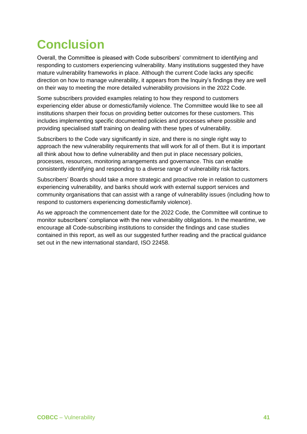## <span id="page-40-0"></span>**Conclusion**

Overall, the Committee is pleased with Code subscribers' commitment to identifying and responding to customers experiencing vulnerability. Many institutions suggested they have mature vulnerability frameworks in place. Although the current Code lacks any specific direction on how to manage vulnerability, it appears from the Inquiry's findings they are well on their way to meeting the more detailed vulnerability provisions in the 2022 Code.

Some subscribers provided examples relating to how they respond to customers experiencing elder abuse or domestic/family violence. The Committee would like to see all institutions sharpen their focus on providing better outcomes for these customers. This includes implementing specific documented policies and processes where possible and providing specialised staff training on dealing with these types of vulnerability.

Subscribers to the Code vary significantly in size, and there is no single right way to approach the new vulnerability requirements that will work for all of them. But it is important all think about how to define vulnerability and then put in place necessary policies, processes, resources, monitoring arrangements and governance. This can enable consistently identifying and responding to a diverse range of vulnerability risk factors.

Subscribers' Boards should take a more strategic and proactive role in relation to customers experiencing vulnerability, and banks should work with external support services and community organisations that can assist with a range of vulnerability issues (including how to respond to customers experiencing domestic/family violence).

As we approach the commencement date for the 2022 Code, the Committee will continue to monitor subscribers' compliance with the new vulnerability obligations. In the meantime, we encourage all Code-subscribing institutions to consider the findings and case studies contained in this report, as well as our suggested further reading and the practical guidance set out in the new international standard, ISO 22458.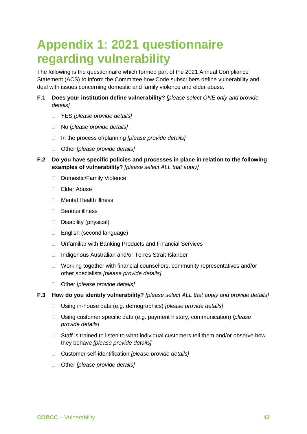## <span id="page-41-0"></span>**Appendix 1: 2021 questionnaire regarding vulnerability**

The following is the questionnaire which formed part of the 2021 Annual Compliance Statement (ACS) to inform the Committee how Code subscribers define vulnerability and deal with issues concerning domestic and family violence and elder abuse.

- **F.1 Does your institution define vulnerability?** *[please select ONE only and provide details]*
	- YES *[please provide details]*
	- No *[please provide details]*
	- In the process of/planning *[please provide details]*
	- Other *[please provide details]*
- **F.2 Do you have specific policies and processes in place in relation to the following examples of vulnerability?** *[please select ALL that apply]*
	- □ Domestic/Family Violence
	- Elder Abuse
	- □ Mental Health illness
	- □ Serious illness
	- Disability (physical)
	- □ English (second language)
	- □ Unfamiliar with Banking Products and Financial Services
	- □ Indigenous Australian and/or Torres Strait Islander
	- □ Working together with financial counsellors, community representatives and/or other specialists *[please provide details]*
	- Other *[please provide details]*
- **F.3 How do you identify vulnerability?** *[please select ALL that apply and provide details]*
	- Using in-house data (e.g. demographics) *[please provide details]*
	- Using customer specific data (e.g. payment history, communication) *[please provide details]*
	- $\Box$  Staff is trained to listen to what individual customers tell them and/or observe how they behave *[please provide details]*
	- Customer self-identification *[please provide details]*
	- Other *[please provide details]*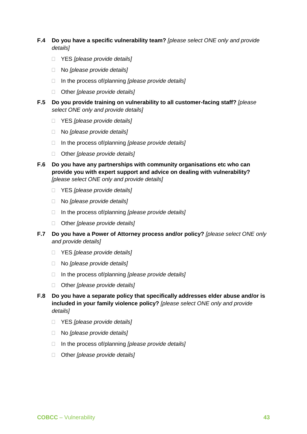- **F.4 Do you have a specific vulnerability team?** *[please select ONE only and provide details]*
	- YES *[please provide details]*
	- No *[please provide details]*
	- In the process of/planning *[please provide details]*
	- Other *[please provide details]*
- **F.5 Do you provide training on vulnerability to all customer-facing staff?** *[please select ONE only and provide details]*
	- YES *[please provide details]*
	- No *[please provide details]*
	- In the process of/planning *[please provide details]*
	- Other *[please provide details]*
- **F.6 Do you have any partnerships with community organisations etc who can provide you with expert support and advice on dealing with vulnerability?**  *[please select ONE only and provide details]*
	- YES *[please provide details]*
	- No *[please provide details]*
	- In the process of/planning *[please provide details]*
	- Other *[please provide details]*
- **F.7 Do you have a Power of Attorney process and/or policy?** *[please select ONE only and provide details]*
	- YES *[please provide details]*
	- No *[please provide details]*
	- In the process of/planning *[please provide details]*
	- Other *[please provide details]*
- **F.8 Do you have a separate policy that specifically addresses elder abuse and/or is included in your family violence policy?** *[please select ONE only and provide details]*
	- YES *[please provide details]*
	- No *[please provide details]*
	- In the process of/planning *[please provide details]*
	- Other *[please provide details]*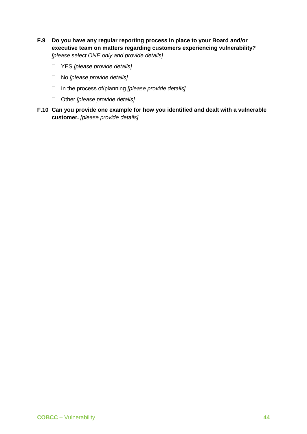- **F.9 Do you have any regular reporting process in place to your Board and/or executive team on matters regarding customers experiencing vulnerability?**  *[please select ONE only and provide details]*
	- YES *[please provide details]*
	- No *[please provide details]*
	- In the process of/planning *[please provide details]*
	- Other *[please provide details]*
- **F.10 Can you provide one example for how you identified and dealt with a vulnerable customer.** *[please provide details]*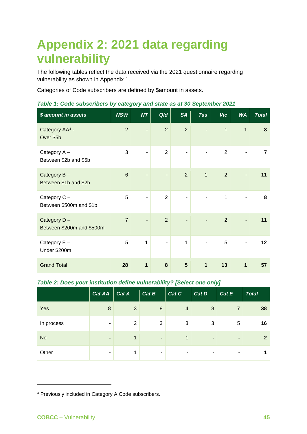## <span id="page-44-0"></span>**Appendix 2: 2021 data regarding vulnerability**

The following tables reflect the data received via the 2021 questionnaire regarding vulnerability as shown in Appendix 1.

Categories of Code subscribers are defined by \$amount in assets.

| \$ amount in assets                      | <b>NSW</b>     | <b>NT</b>      | Qld                      | <b>SA</b>      | <b>Tas</b>               | <b>Vic</b>     | <b>WA</b>                | <b>Total</b> |
|------------------------------------------|----------------|----------------|--------------------------|----------------|--------------------------|----------------|--------------------------|--------------|
| Category AA <sup>4</sup> -<br>Over \$5b  | $\overline{2}$ |                | $\overline{2}$           | $\overline{2}$ | ٠                        | $\overline{1}$ | $\mathbf{1}$             | 8            |
| Category A -<br>Between \$2b and \$5b    | 3              | ÷,             | $\overline{2}$           | $\blacksquare$ | ÷,                       | $\overline{2}$ | $\overline{\phantom{0}}$ | 7            |
| Category B-<br>Between \$1b and \$2b     | 6              |                |                          | 2              | $\mathbf{1}$             | $\overline{2}$ |                          | 11           |
| Category C -<br>Between \$500m and \$1b  | 5              | $\blacksquare$ | $\overline{2}$           | $\blacksquare$ | $\overline{\phantom{a}}$ | 1              | ÷,                       | 8            |
| Category D-<br>Between \$200m and \$500m | $\overline{7}$ |                | $\overline{2}$           |                |                          | $\overline{2}$ |                          | 11           |
| Category E -<br>Under \$200m             | 5              | 1              | $\overline{\phantom{a}}$ | $\mathbf{1}$   | $\overline{\phantom{a}}$ | 5              | ۰                        | 12           |
| <b>Grand Total</b>                       | 28             | 1              | 8                        | 5              | 1                        | 13             | 1                        | 57           |

### *Table 1: Code subscribers by category and state as at 30 September 2021*

### *Table 2: Does your institution define vulnerability? [Select one only]*

|            | Cat AA $\vert$ Cat A |                | Cat B            | Cat C          | Cat D          | Cat E          | <b>Total</b> |
|------------|----------------------|----------------|------------------|----------------|----------------|----------------|--------------|
| Yes        | 8                    | 3              | $\boldsymbol{8}$ | $\overline{4}$ | 8              | 7              | 38           |
| In process | $\blacksquare$       | $\overline{2}$ | 3                | 3              | 3              | 5              | 16           |
| <b>No</b>  | $\blacksquare$       |                |                  | $\mathbf 1$    | $\blacksquare$ | $\blacksquare$ | 2            |
| Other      | $\blacksquare$       |                | $\blacksquare$   | ۰              | $\blacksquare$ | $\blacksquare$ |              |

<sup>4</sup> Previously included in Category A Code subscribers.

-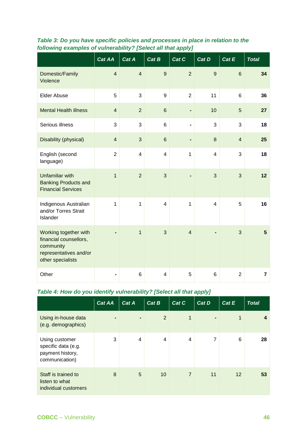|                                                                                                             | Cat AA         | Cat A          | Cat B          | Cat C          | Cat D          | Cat E          | <b>Total</b>   |
|-------------------------------------------------------------------------------------------------------------|----------------|----------------|----------------|----------------|----------------|----------------|----------------|
| Domestic/Family<br>Violence                                                                                 | $\overline{4}$ | $\overline{4}$ | $\overline{9}$ | $\overline{2}$ | 9              | $6\phantom{1}$ | 34             |
| <b>Elder Abuse</b>                                                                                          | 5              | 3              | 9              | $\overline{2}$ | 11             | 6              | 36             |
| <b>Mental Health illness</b>                                                                                | $\overline{4}$ | $\overline{2}$ | 6              |                | 10             | 5              | 27             |
| Serious illness                                                                                             | 3              | 3              | 6              |                | 3              | 3              | 18             |
| Disability (physical)                                                                                       | $\overline{4}$ | 3              | 6              | $\blacksquare$ | 8              | $\overline{4}$ | 25             |
| English (second<br>language)                                                                                | $\overline{2}$ | $\overline{4}$ | $\overline{4}$ | $\mathbf{1}$   | $\overline{4}$ | 3              | 18             |
| <b>Unfamiliar with</b><br><b>Banking Products and</b><br><b>Financial Services</b>                          | $\mathbf{1}$   | $\overline{2}$ | 3              |                | 3              | 3              | 12             |
| Indigenous Australian<br>and/or Torres Strait<br>Islander                                                   | $\mathbf{1}$   | $\mathbf{1}$   | 4              | $\mathbf{1}$   | $\overline{4}$ | 5              | 16             |
| Working together with<br>financial counsellors,<br>community<br>representatives and/or<br>other specialists |                | $\mathbf{1}$   | 3              | $\overline{4}$ |                | 3              | 5              |
| Other                                                                                                       |                | 6              | 4              | 5              | 6              | $\overline{2}$ | $\overline{7}$ |

### *Table 3: Do you have specific policies and processes in place in relation to the following examples of vulnerability? [Select all that apply]*

### *Table 4: How do you identify vulnerability? [Select all that apply]*

|                                                                             | <b>Cat AA</b>  | Cat A          | Cat B | Cat C          | Cat D          | Cat E | <b>Total</b> |
|-----------------------------------------------------------------------------|----------------|----------------|-------|----------------|----------------|-------|--------------|
| Using in-house data<br>(e.g. demographics)                                  | $\blacksquare$ | $\blacksquare$ | 2     | $\mathbf{1}$   | $\blacksquare$ | 1     | 4            |
| Using customer<br>specific data (e.g.<br>payment history,<br>communication) | 3              | 4              | 4     | 4              | 7              | 6     | 28           |
| Staff is trained to<br>listen to what<br>individual customers               | 8              | 5              | 10    | $\overline{7}$ | 11             | 12    | 53           |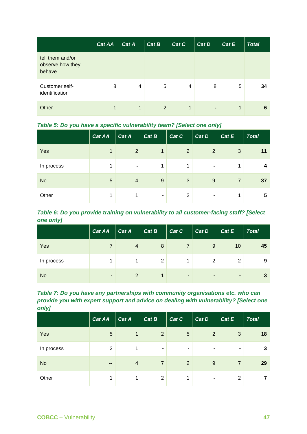|                                                | <b>Cat AA</b> | Cat A | Cat B          | Cat C | Cat D          | Cat E | <b>Total</b> |
|------------------------------------------------|---------------|-------|----------------|-------|----------------|-------|--------------|
| tell them and/or<br>observe how they<br>behave |               |       |                |       |                |       |              |
| Customer self-<br>identification               | 8             | 4     | 5              | 4     | 8              | 5     | 34           |
| Other                                          | 1             | 1     | $\overline{2}$ | 1     | $\blacksquare$ | 1     | 6            |

|            | Cat AA          | Cat A          | Cat B | Cat C          | Cat D          | Cat E          | <b>Total</b> |
|------------|-----------------|----------------|-------|----------------|----------------|----------------|--------------|
| Yes        | 1               | $\overline{2}$ | 1     | $\overline{2}$ | $\overline{2}$ | 3              | 11           |
| In process | 1               | $\blacksquare$ | 1     | ◢              | $\blacksquare$ |                |              |
| <b>No</b>  | $5\phantom{.0}$ | $\overline{4}$ | 9     | 3              | 9              | $\overline{7}$ | 37           |
| Other      | 1               | 1              | ۰     | $\overline{2}$ | ۰              |                | 5            |

*Table 6: Do you provide training on vulnerability to all customer-facing staff? [Select one only]*

|            | <b>Cat AA</b>  | $\text{Cat } A$ | Cat B | Cat C          | Cat D          | Cat E          | <b>Total</b> |
|------------|----------------|-----------------|-------|----------------|----------------|----------------|--------------|
| Yes        |                | $\overline{4}$  | 8     |                | 9              | 10             | 45           |
| In process |                |                 | 2     |                | 2              | 2              | 9            |
| <b>No</b>  | $\blacksquare$ | $\overline{2}$  | 1     | $\blacksquare$ | $\blacksquare$ | $\blacksquare$ |              |

*Table 7: Do you have any partnerships with community organisations etc. who can provide you with expert support and advice on dealing with vulnerability? [Select one only]*

|            | <b>Cat AA</b>  | $\vert$ Cat A  | $\vert$ Cat B  | Cat C          | Cat D          | Cat E          | <b>Total</b> |
|------------|----------------|----------------|----------------|----------------|----------------|----------------|--------------|
| Yes        | 5              | $\mathbf 1$    | $\overline{2}$ | 5              | $\overline{2}$ | 3              | 18           |
| In process | $\overline{2}$ | 1              | $\blacksquare$ | $\blacksquare$ | ۰              | $\blacksquare$ | 3            |
| <b>No</b>  | $\sim$         | $\overline{4}$ | $\overline{7}$ | 2              | $9\,$          | $\overline{7}$ | 29           |
| Other      | 1              | 1              | $\overline{2}$ | 1              | ۰              | 2              |              |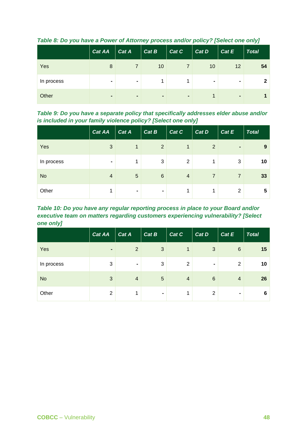|            | Cat AA         | $\text{Cat } A$ | Cat B          | Cat C          | Cat D          | Cat E          | <b>Total</b>   |
|------------|----------------|-----------------|----------------|----------------|----------------|----------------|----------------|
| Yes        | 8              |                 | 10             |                | 10             | 12             | 54             |
| In process |                | $\blacksquare$  |                |                | $\blacksquare$ | $\blacksquare$ | $\overline{2}$ |
| Other      | $\blacksquare$ | $\blacksquare$  | $\blacksquare$ | $\blacksquare$ |                | $\blacksquare$ |                |

*Table 8: Do you have a Power of Attorney process and/or policy? [Select one only]*

*Table 9: Do you have a separate policy that specifically addresses elder abuse and/or is included in your family violence policy? [Select one only]*

|            | Cat AA         | Cat A          | Cat B           | $\vert$ Cat C  | Cat D          | Cat E          | <b>Total</b> |
|------------|----------------|----------------|-----------------|----------------|----------------|----------------|--------------|
| Yes        | 3              | $\mathbf{1}$   | $\overline{2}$  | 1              | $\overline{2}$ | -              | 9            |
| In process | $\blacksquare$ | 1              | 3               | $\overline{2}$ | $\mathbf{1}$   | 3              | 10           |
| <b>No</b>  | 4              | 5              | $6\phantom{1}6$ | $\overline{4}$ | $\overline{7}$ | $\overline{7}$ | 33           |
| Other      | 4              | $\blacksquare$ | $\blacksquare$  | 1              | 1              | 2              | 5            |

*Table 10: Do you have any regular reporting process in place to your Board and/or executive team on matters regarding customers experiencing vulnerability? [Select one only]*

|            | <b>Cat AA</b>  | $\Big $ Cat A  | Cat B          | Cat C          | Cat D           | Cat E           | <b>Total</b> |
|------------|----------------|----------------|----------------|----------------|-----------------|-----------------|--------------|
| Yes        | $\blacksquare$ | $\overline{2}$ | 3              | 1              | 3               | $6\phantom{1}6$ | 15           |
| In process | 3              | $\blacksquare$ | 3              | $\overline{2}$ | $\blacksquare$  | 2               | 10           |
| <b>No</b>  | 3              | $\overline{4}$ | 5              | $\overline{4}$ | $6\phantom{1}6$ | $\overline{4}$  | 26           |
| Other      | $\overline{2}$ | 1              | $\blacksquare$ | 4              | $\overline{2}$  | $\blacksquare$  | 6            |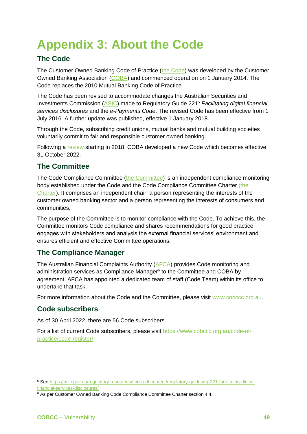## <span id="page-48-0"></span>**Appendix 3: About the Code**

### <span id="page-48-1"></span>**The Code**

The Customer Owned Banking Code of Practice [\(the Code\)](https://www.customerownedbanking.asn.au/storage/cobcop-jan-18-version-12-1634019447JaAF1.pdf) was developed by the Customer Owned Banking Association [\(COBA\)](https://www.customerownedbanking.asn.au/) and commenced operation on 1 January 2014. The Code replaces the 2010 Mutual Banking Code of Practice.

The Code has been revised to accommodate changes the Australian Securities and Investments Commission [\(ASIC\)](http://www.asic.gov.au/) made to Regulatory [Guide](https://asic.gov.au/regulatory-resources/find-a-document/regulatory-guides/rg-221-facilitating-digital-financial-services-disclosures/) 221<sup>5</sup> *Facilitating digital financial services disclosures* and the *e-Payments Code*. The revised Code has been effective from 1 July 2016. A further update was published, effective 1 January 2018.

Through the Code, subscribing credit unions, mutual banks and mutual building societies voluntarily commit to fair and responsible customer owned banking.

Following a [review](https://www.customerownedbanking.asn.au/how-it-works/code-of-practice) starting in 2018, COBA developed a new Code which becomes effective 31 October 2022.

### <span id="page-48-2"></span>**The Committee**

The Code Compliance Committee [\(the Committee\)](http://www.cobccc.org.au/) is an independent compliance monitoring body established under the Code and the Code Compliance Committee Charter [\(the](https://www.cobccc.org.au/app/uploads/2016/01/COBCCC-Charter-Feb-2014.pdf)  [Charter\)](https://www.cobccc.org.au/app/uploads/2016/01/COBCCC-Charter-Feb-2014.pdf). It comprises an independent chair, a person representing the interests of the customer owned banking sector and a person representing the interests of consumers and communities.

The purpose of the Committee is to monitor compliance with the Code. To achieve this, the Committee monitors Code compliance and shares recommendations for good practice, engages with stakeholders and analysis the external financial services' environment and ensures efficient and effective Committee operations.

### <span id="page-48-3"></span>**The Compliance Manager**

The Australian Financial Complaints Authority [\(AFCA\)](http://www.afca.org.au/) provides Code monitoring and administration services as Compliance Manager<sup>6</sup> to the Committee and COBA by agreement. AFCA has appointed a dedicated team of staff (Code Team) within its office to undertake that task.

For more information about the Code and the Committee, please visit [www.cobccc.org.au.](http://www.cobccc.org.au/)

### <span id="page-48-4"></span>**Code subscribers**

As of 30 April 2022, there are 56 Code subscribers.

For a list of current Code subscribers, please visit [https://www.cobccc.org.au/code-of](https://www.cobccc.org.au/code-of-practice/code-register/)[practice/code-register/](https://www.cobccc.org.au/code-of-practice/code-register/)

-

<sup>5</sup> See [https://asic.gov.au/regulatory-resources/find-a-document/regulatory-guides/rg-221-facilitating-digital](https://asic.gov.au/regulatory-resources/find-a-document/regulatory-guides/rg-221-facilitating-digital-financial-services-disclosures/)[financial-services-disclosures/](https://asic.gov.au/regulatory-resources/find-a-document/regulatory-guides/rg-221-facilitating-digital-financial-services-disclosures/)

<sup>&</sup>lt;sup>6</sup> As per Customer Owned Banking Code Compliance Committee Charter section 4.4.